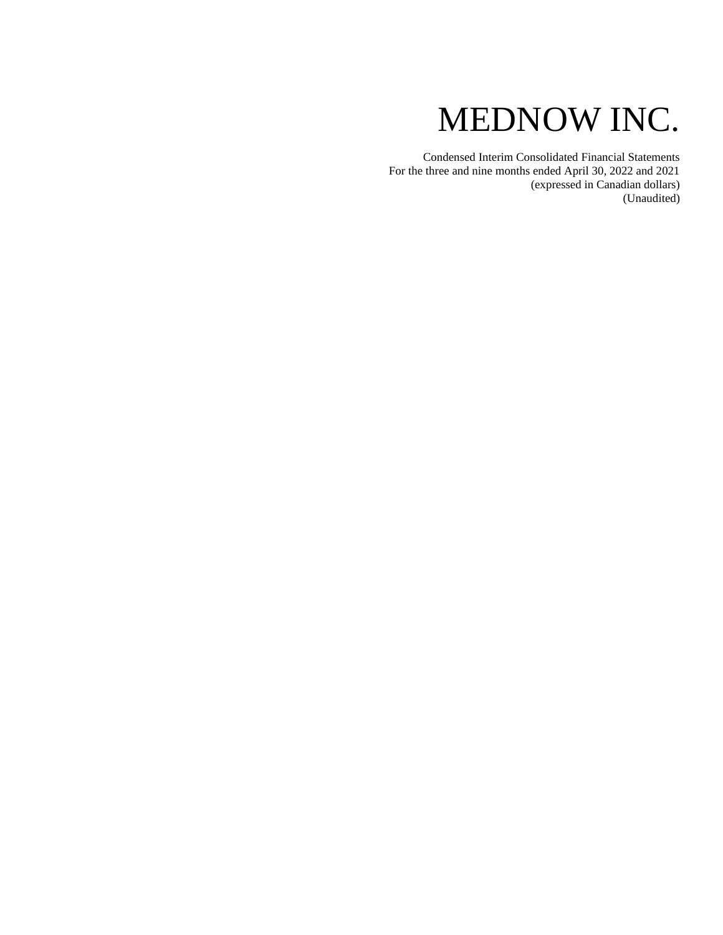# MEDNOW INC.

Condensed Interim Consolidated Financial Statements For the three and nine months ended April 30, 2022 and 2021 (expressed in Canadian dollars) (Unaudited)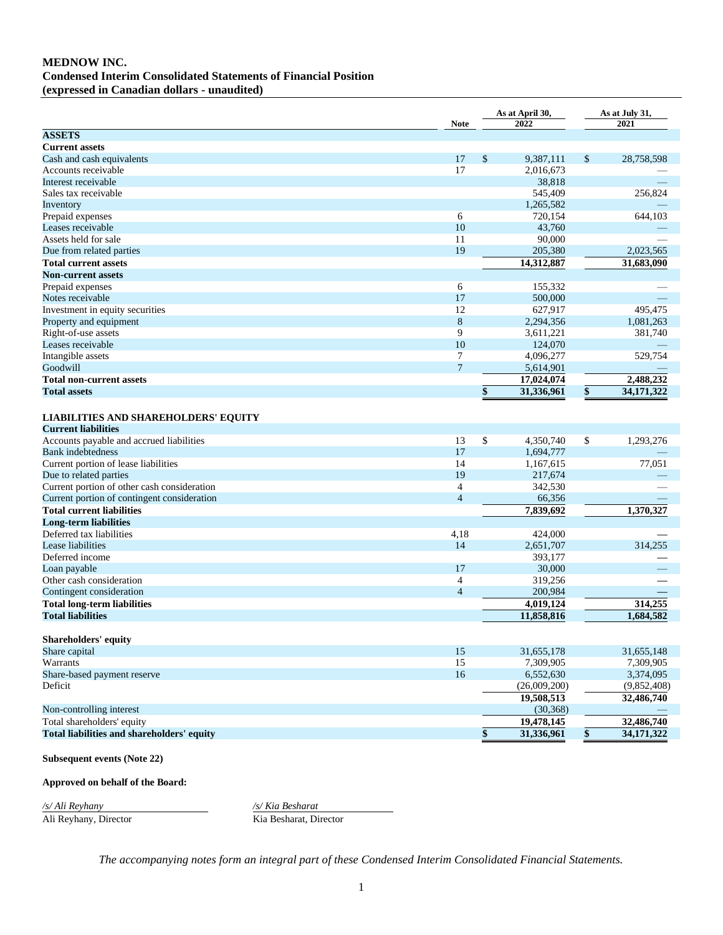# **MEDNOW INC. Condensed Interim Consolidated Statements of Financial Position**

**(expressed in Canadian dollars - unaudited)**

|                                                                           | <b>Note</b>    | As at April 30,<br>2022 | As at July 31,<br>2021 |             |  |
|---------------------------------------------------------------------------|----------------|-------------------------|------------------------|-------------|--|
| <b>ASSETS</b>                                                             |                |                         |                        |             |  |
| <b>Current assets</b>                                                     |                |                         |                        |             |  |
| Cash and cash equivalents                                                 | 17             | \$<br>9,387,111         | \$                     | 28,758,598  |  |
| Accounts receivable                                                       | 17             | 2,016,673               |                        |             |  |
| Interest receivable                                                       |                | 38,818                  |                        |             |  |
| Sales tax receivable                                                      |                | 545,409                 |                        | 256,824     |  |
| Inventory                                                                 |                | 1,265,582               |                        |             |  |
| Prepaid expenses                                                          | 6              | 720,154                 |                        | 644,103     |  |
| Leases receivable                                                         | 10             | 43.760                  |                        |             |  |
| Assets held for sale                                                      | 11             | 90,000                  |                        |             |  |
| Due from related parties                                                  | 19             | 205,380                 |                        | 2,023,565   |  |
| <b>Total current assets</b>                                               |                | 14,312,887              |                        | 31,683,090  |  |
| <b>Non-current assets</b>                                                 |                |                         |                        |             |  |
| Prepaid expenses                                                          | 6              | 155,332                 |                        |             |  |
| Notes receivable                                                          | 17             | 500,000                 |                        |             |  |
| Investment in equity securities                                           | 12             | 627,917                 |                        | 495,475     |  |
| Property and equipment                                                    | 8              | 2,294,356               |                        | 1,081,263   |  |
| Right-of-use assets                                                       | 9              | 3,611,221               |                        | 381,740     |  |
| Leases receivable                                                         | 10             | 124,070                 |                        |             |  |
| Intangible assets                                                         | 7              | 4,096,277               |                        | 529,754     |  |
| Goodwill                                                                  | $\overline{7}$ | 5,614,901               |                        |             |  |
| <b>Total non-current assets</b>                                           |                | 17,024,074              |                        | 2,488,232   |  |
| <b>Total assets</b>                                                       |                | \$<br>31,336,961        | \$                     | 34,171,322  |  |
|                                                                           |                |                         |                        |             |  |
| <b>LIABILITIES AND SHAREHOLDERS' EQUITY</b><br><b>Current liabilities</b> |                |                         |                        |             |  |
| Accounts payable and accrued liabilities                                  | 13             | \$<br>4,350,740         | \$                     | 1,293,276   |  |
| <b>Bank</b> indebtedness                                                  | 17             | 1,694,777               |                        |             |  |
| Current portion of lease liabilities                                      | 14             | 1,167,615               |                        | 77,051      |  |
| Due to related parties                                                    | 19             | 217,674                 |                        |             |  |
| Current portion of other cash consideration                               | $\overline{4}$ | 342,530                 |                        |             |  |
| Current portion of contingent consideration                               | $\overline{4}$ | 66,356                  |                        |             |  |
| <b>Total current liabilities</b>                                          |                | 7,839,692               |                        | 1,370,327   |  |
| <b>Long-term liabilities</b>                                              |                |                         |                        |             |  |
| Deferred tax liabilities                                                  | 4,18           | 424,000                 |                        |             |  |
| Lease liabilities                                                         | 14             | 2,651,707               |                        | 314,255     |  |
| Deferred income                                                           |                | 393,177                 |                        |             |  |
| Loan payable                                                              | 17             | 30,000                  |                        |             |  |
| Other cash consideration                                                  | $\overline{4}$ | 319,256                 |                        |             |  |
| Contingent consideration                                                  | $\overline{4}$ | 200,984                 |                        |             |  |
| <b>Total long-term liabilities</b>                                        |                | 4,019,124               |                        | 314,255     |  |
| <b>Total liabilities</b>                                                  |                | 11,858,816              |                        | 1.684.582   |  |
|                                                                           |                |                         |                        |             |  |
| Shareholders' equity                                                      |                |                         |                        |             |  |
| Share capital                                                             | 15             | 31,655,178              |                        | 31,655,148  |  |
| Warrants                                                                  | 15             | 7,309,905               |                        | 7,309,905   |  |
| Share-based payment reserve                                               | 16             | 6,552,630               |                        | 3,374,095   |  |
| Deficit                                                                   |                | (26,009,200)            |                        | (9,852,408) |  |
|                                                                           |                | 19,508,513              |                        | 32,486,740  |  |
| Non-controlling interest                                                  |                | (30, 368)               |                        |             |  |
| Total shareholders' equity                                                |                | 19,478,145              |                        | 32,486,740  |  |
| Total liabilities and shareholders' equity                                |                |                         |                        | 34,171,322  |  |
|                                                                           |                | \$<br>31,336,961        | \$                     |             |  |
| <b>Subsequent events (Note 22)</b>                                        |                |                         |                        |             |  |

#### **Approved on behalf of the Board:**

*/s/ Ali Reyhany /s/ Kia Besharat* Kia Besharat, Director

*The accompanying notes form an integral part of these Condensed Interim Consolidated Financial Statements.*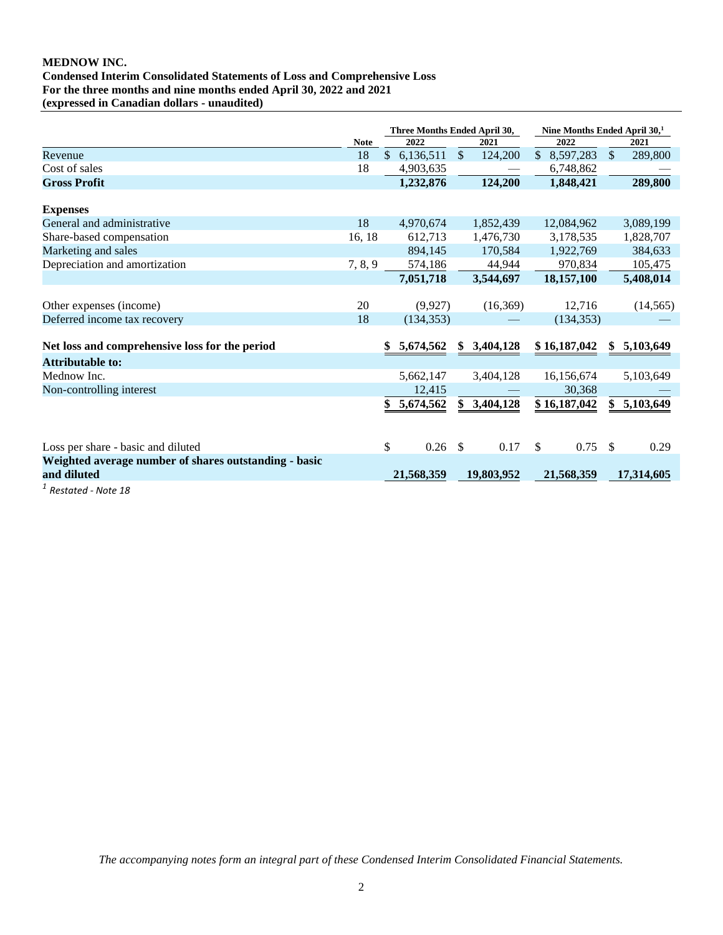## **MEDNOW INC. Condensed Interim Consolidated Statements of Loss and Comprehensive Loss For the three months and nine months ended April 30, 2022 and 2021 (expressed in Canadian dollars - unaudited)**

|                                                                      |             | Three Months Ended April 30, |             |               | Nine Months Ended April 30, <sup>1</sup> |              |               |            |
|----------------------------------------------------------------------|-------------|------------------------------|-------------|---------------|------------------------------------------|--------------|---------------|------------|
|                                                                      | <b>Note</b> |                              | 2022        |               | 2021                                     | 2022         |               | 2021       |
| Revenue                                                              | 18          |                              | \$6,136,511 | \$            | 124,200                                  | \$8,597,283  | $\mathcal{S}$ | 289,800    |
| Cost of sales                                                        | 18          |                              | 4,903,635   |               |                                          | 6,748,862    |               |            |
| <b>Gross Profit</b>                                                  |             |                              | 1,232,876   |               | 124,200                                  | 1,848,421    |               | 289,800    |
| <b>Expenses</b>                                                      |             |                              |             |               |                                          |              |               |            |
| General and administrative                                           | 18          |                              | 4,970,674   |               | 1,852,439                                | 12,084,962   |               | 3,089,199  |
| Share-based compensation                                             | 16, 18      |                              | 612,713     |               | 1,476,730                                | 3,178,535    |               | 1,828,707  |
| Marketing and sales                                                  |             |                              | 894,145     |               | 170,584                                  | 1,922,769    |               | 384,633    |
| Depreciation and amortization                                        | 7, 8, 9     |                              | 574,186     |               | 44,944                                   | 970,834      |               | 105,475    |
|                                                                      |             |                              | 7,051,718   |               | 3,544,697                                | 18,157,100   |               | 5,408,014  |
| Other expenses (income)                                              | 20          |                              | (9,927)     |               | (16,369)                                 | 12,716       |               | (14, 565)  |
| Deferred income tax recovery                                         | 18          |                              | (134, 353)  |               |                                          | (134, 353)   |               |            |
| Net loss and comprehensive loss for the period                       |             | \$                           | 5,674,562   |               | \$3,404,128                              | \$16,187,042 | SS.           | 5,103,649  |
| <b>Attributable to:</b>                                              |             |                              |             |               |                                          |              |               |            |
| Mednow Inc.                                                          |             |                              | 5,662,147   |               | 3,404,128                                | 16,156,674   |               | 5,103,649  |
| Non-controlling interest                                             |             |                              | 12,415      |               |                                          | 30,368       |               |            |
|                                                                      |             | \$                           | 5,674,562   |               | 3,404,128                                | \$16,187,042 |               | 5,103,649  |
|                                                                      |             |                              |             |               |                                          |              |               |            |
| Loss per share - basic and diluted                                   |             | \$                           | 0.26        | $\mathcal{S}$ | 0.17                                     | \$<br>0.75   | <sup>\$</sup> | 0.29       |
| Weighted average number of shares outstanding - basic<br>and diluted |             |                              | 21,568,359  |               | 19,803,952                               | 21,568,359   |               | 17,314,605 |
| - - - - - - - - -                                                    |             |                              |             |               |                                          |              |               |            |

*1 Restated - Note 18*

*The accompanying notes form an integral part of these Condensed Interim Consolidated Financial Statements.*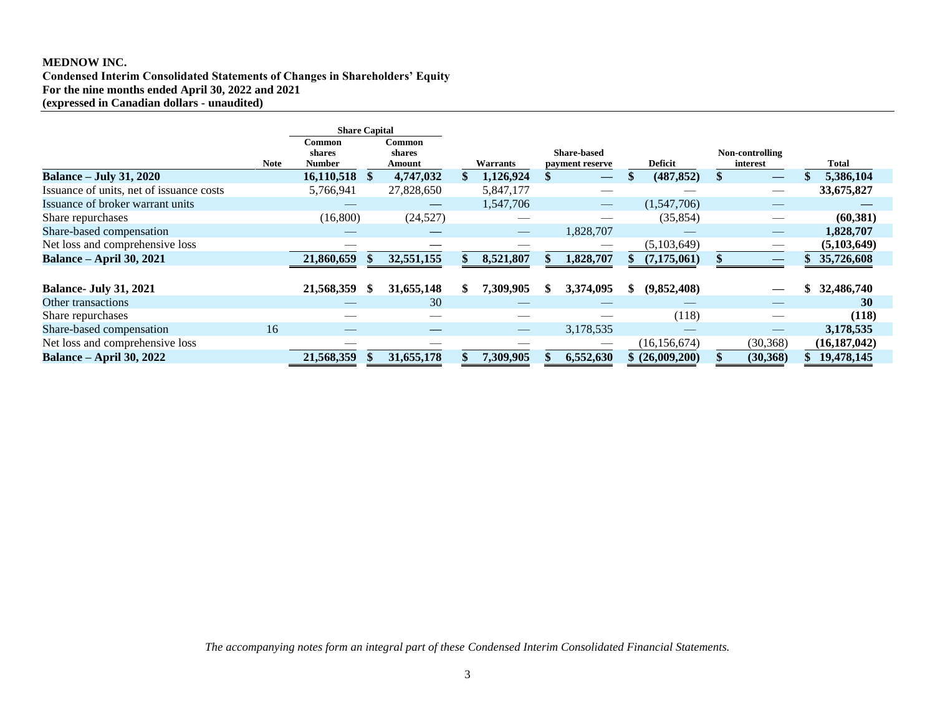## **MEDNOW INC.**

**Condensed Interim Consolidated Statements of Changes in Shareholders' Equity For the nine months ended April 30, 2022 and 2021 (expressed in Canadian dollars - unaudited)**

|                                          |      | <b>Share Capital</b>       |                            |                          |     |                                       |                 |                             |                |
|------------------------------------------|------|----------------------------|----------------------------|--------------------------|-----|---------------------------------------|-----------------|-----------------------------|----------------|
|                                          | Note | Common<br>shares<br>Number | Common<br>shares<br>Amount | Warrants                 |     | <b>Share-based</b><br>payment reserve | Deficit         | Non-controlling<br>interest | Total          |
| <b>Balance – July 31, 2020</b>           |      | 16,110,518                 | 4,747,032                  | 1,126,924                |     |                                       | (487, 852)      | —                           | 5,386,104      |
| Issuance of units, net of issuance costs |      | 5,766,941                  | 27,828,650                 | 5,847,177                |     |                                       |                 | $\overline{\phantom{a}}$    | 33,675,827     |
| Issuance of broker warrant units         |      |                            |                            | 1,547,706                |     |                                       | (1,547,706)     |                             |                |
| Share repurchases                        |      | (16,800)                   | (24,527)                   |                          |     |                                       | (35, 854)       |                             | (60, 381)      |
| Share-based compensation                 |      |                            |                            |                          |     | 1,828,707                             |                 |                             | 1,828,707      |
| Net loss and comprehensive loss          |      | __                         | __                         | __                       |     |                                       | (5,103,649)     |                             | (5,103,649)    |
| <b>Balance - April 30, 2021</b>          |      | 21,860,659                 | 32,551,155                 | 8,521,807                |     | 1,828,707                             | (7,175,061)     |                             | 35,726,608     |
|                                          |      |                            |                            |                          |     |                                       |                 |                             |                |
| <b>Balance- July 31, 2021</b>            |      | 21,568,359                 | 31,655,148                 | \$<br>7.309,905          | \$. | 3,374,095                             | (9,852,408)     |                             | 32,486,740     |
| Other transactions                       |      |                            | 30                         |                          |     |                                       |                 |                             | 30             |
| Share repurchases                        |      |                            |                            |                          |     |                                       | (118)           |                             | (118)          |
| Share-based compensation                 | 16   |                            |                            | $\qquad \qquad - \qquad$ |     | 3,178,535                             |                 |                             | 3,178,535      |
| Net loss and comprehensive loss          |      |                            |                            |                          |     |                                       | (16, 156, 674)  | (30, 368)                   | (16, 187, 042) |
| <b>Balance – April 30, 2022</b>          |      | 21,568,359                 | 31,655,178                 | 7,309,905                |     | 6,552,630                             | \$ (26,009,200) | (30, 368)                   | 19,478,145     |

*The accompanying notes form an integral part of these Condensed Interim Consolidated Financial Statements.*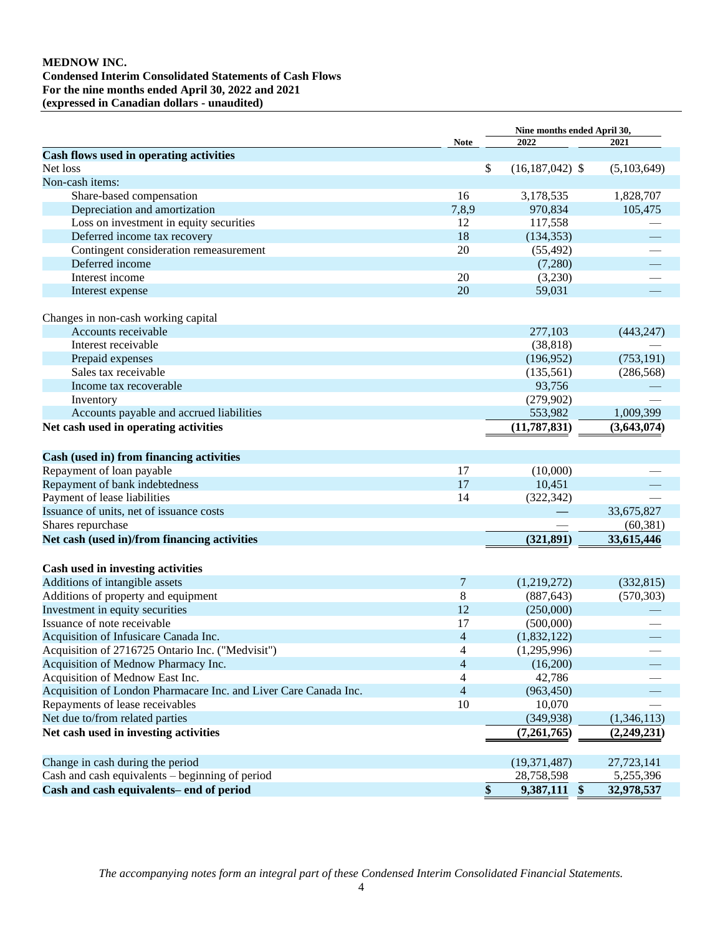## **MEDNOW INC. Condensed Interim Consolidated Statements of Cash Flows For the nine months ended April 30, 2022 and 2021 (expressed in Canadian dollars - unaudited)**

|                                                                  |                | Nine months ended April 30,    |             |
|------------------------------------------------------------------|----------------|--------------------------------|-------------|
|                                                                  | Note           | 2022                           | 2021        |
| Cash flows used in operating activities                          |                |                                |             |
| Net loss                                                         | \$             | $(16, 187, 042)$ \$            | (5,103,649) |
| Non-cash items:                                                  |                |                                |             |
| Share-based compensation                                         | 16             | 3,178,535                      | 1,828,707   |
| Depreciation and amortization                                    | 7,8,9          | 970,834                        | 105,475     |
| Loss on investment in equity securities                          | 12             | 117,558                        |             |
| Deferred income tax recovery                                     | 18             | (134, 353)                     |             |
| Contingent consideration remeasurement                           | 20             | (55, 492)                      |             |
| Deferred income                                                  |                | (7,280)                        |             |
| Interest income                                                  | 20             | (3,230)                        |             |
| Interest expense                                                 | 20             | 59,031                         |             |
| Changes in non-cash working capital                              |                |                                |             |
| Accounts receivable                                              |                | 277,103                        | (443, 247)  |
| Interest receivable                                              |                | (38, 818)                      |             |
| Prepaid expenses                                                 |                | (196, 952)                     | (753, 191)  |
| Sales tax receivable                                             |                | (135,561)                      | (286, 568)  |
| Income tax recoverable                                           |                | 93,756                         |             |
| Inventory                                                        |                | (279,902)                      |             |
| Accounts payable and accrued liabilities                         |                | 553,982                        | 1,009,399   |
| Net cash used in operating activities                            |                | (11, 787, 831)                 | (3,643,074) |
| Cash (used in) from financing activities                         |                |                                |             |
| Repayment of loan payable                                        | 17             | (10,000)                       |             |
| Repayment of bank indebtedness                                   | 17             | 10,451                         |             |
| Payment of lease liabilities                                     | 14             | (322, 342)                     |             |
| Issuance of units, net of issuance costs                         |                |                                | 33,675,827  |
| Shares repurchase                                                |                |                                | (60, 381)   |
| Net cash (used in)/from financing activities                     |                | (321, 891)                     | 33,615,446  |
|                                                                  |                |                                |             |
| Cash used in investing activities                                |                |                                |             |
| Additions of intangible assets                                   | 7              | (1,219,272)                    | (332, 815)  |
| Additions of property and equipment                              | 8              | (887, 643)                     | (570, 303)  |
| Investment in equity securities                                  | 12             | (250,000)                      |             |
| Issuance of note receivable                                      | 17             | (500,000)                      |             |
| Acquisition of Infusicare Canada Inc.                            | 4              | (1,832,122)                    |             |
| Acquisition of 2716725 Ontario Inc. ("Medvisit")                 | 4              | (1,295,996)                    |             |
| Acquisition of Mednow Pharmacy Inc.                              | $\overline{4}$ | (16,200)                       |             |
| Acquisition of Mednow East Inc.                                  | 4              | 42,786                         |             |
| Acquisition of London Pharmacare Inc. and Liver Care Canada Inc. | $\overline{4}$ | (963, 450)                     |             |
| Repayments of lease receivables                                  | 10             | 10,070                         |             |
| Net due to/from related parties                                  |                | (349, 938)                     | (1,346,113) |
| Net cash used in investing activities                            |                | (7,261,765)                    | (2,249,231) |
| Change in cash during the period                                 |                | (19, 371, 487)                 | 27,723,141  |
| Cash and cash equivalents - beginning of period                  |                | 28,758,598                     | 5,255,396   |
| Cash and cash equivalents- end of period                         | \$             | 9,387,111<br>$\boldsymbol{\$}$ | 32,978,537  |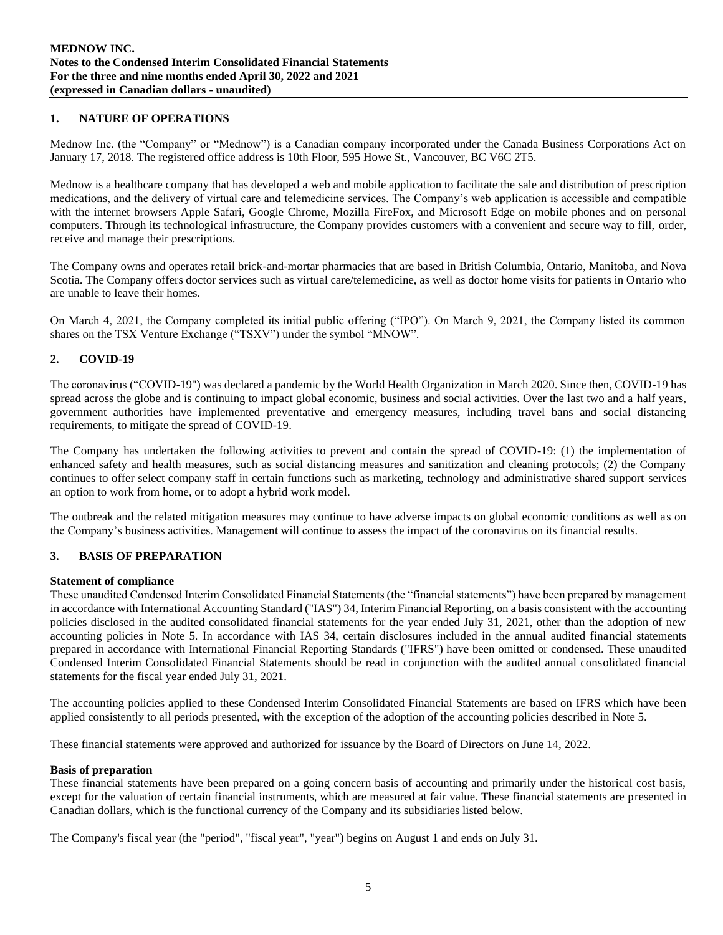## **1. NATURE OF OPERATIONS**

Mednow Inc. (the "Company" or "Mednow") is a Canadian company incorporated under the Canada Business Corporations Act on January 17, 2018. The registered office address is 10th Floor, 595 Howe St., Vancouver, BC V6C 2T5.

Mednow is a healthcare company that has developed a web and mobile application to facilitate the sale and distribution of prescription medications, and the delivery of virtual care and telemedicine services. The Company's web application is accessible and compatible with the internet browsers Apple Safari, Google Chrome, Mozilla FireFox, and Microsoft Edge on mobile phones and on personal computers. Through its technological infrastructure, the Company provides customers with a convenient and secure way to fill, order, receive and manage their prescriptions.

The Company owns and operates retail brick-and-mortar pharmacies that are based in British Columbia, Ontario, Manitoba, and Nova Scotia. The Company offers doctor services such as virtual care/telemedicine, as well as doctor home visits for patients in Ontario who are unable to leave their homes.

On March 4, 2021, the Company completed its initial public offering ("IPO"). On March 9, 2021, the Company listed its common shares on the TSX Venture Exchange ("TSXV") under the symbol "MNOW".

#### **2. COVID-19**

The coronavirus ("COVID-19") was declared a pandemic by the World Health Organization in March 2020. Since then, COVID-19 has spread across the globe and is continuing to impact global economic, business and social activities. Over the last two and a half years, government authorities have implemented preventative and emergency measures, including travel bans and social distancing requirements, to mitigate the spread of COVID-19.

The Company has undertaken the following activities to prevent and contain the spread of COVID-19: (1) the implementation of enhanced safety and health measures, such as social distancing measures and sanitization and cleaning protocols; (2) the Company continues to offer select company staff in certain functions such as marketing, technology and administrative shared support services an option to work from home, or to adopt a hybrid work model.

The outbreak and the related mitigation measures may continue to have adverse impacts on global economic conditions as well as on the Company's business activities. Management will continue to assess the impact of the coronavirus on its financial results.

## **3. BASIS OF PREPARATION**

#### **Statement of compliance**

These unaudited Condensed Interim Consolidated Financial Statements (the "financial statements") have been prepared by management in accordance with International Accounting Standard ("IAS") 34, Interim Financial Reporting, on a basis consistent with the accounting policies disclosed in the audited consolidated financial statements for the year ended July 31, 2021, other than the adoption of new accounting policies in Note 5. In accordance with IAS 34, certain disclosures included in the annual audited financial statements prepared in accordance with International Financial Reporting Standards ("IFRS") have been omitted or condensed. These unaudited Condensed Interim Consolidated Financial Statements should be read in conjunction with the audited annual consolidated financial statements for the fiscal year ended July 31, 2021.

The accounting policies applied to these Condensed Interim Consolidated Financial Statements are based on IFRS which have been applied consistently to all periods presented, with the exception of the adoption of the accounting policies described in Note 5.

These financial statements were approved and authorized for issuance by the Board of Directors on June 14, 2022.

#### **Basis of preparation**

These financial statements have been prepared on a going concern basis of accounting and primarily under the historical cost basis, except for the valuation of certain financial instruments, which are measured at fair value. These financial statements are presented in Canadian dollars, which is the functional currency of the Company and its subsidiaries listed below.

The Company's fiscal year (the "period", "fiscal year", "year") begins on August 1 and ends on July 31.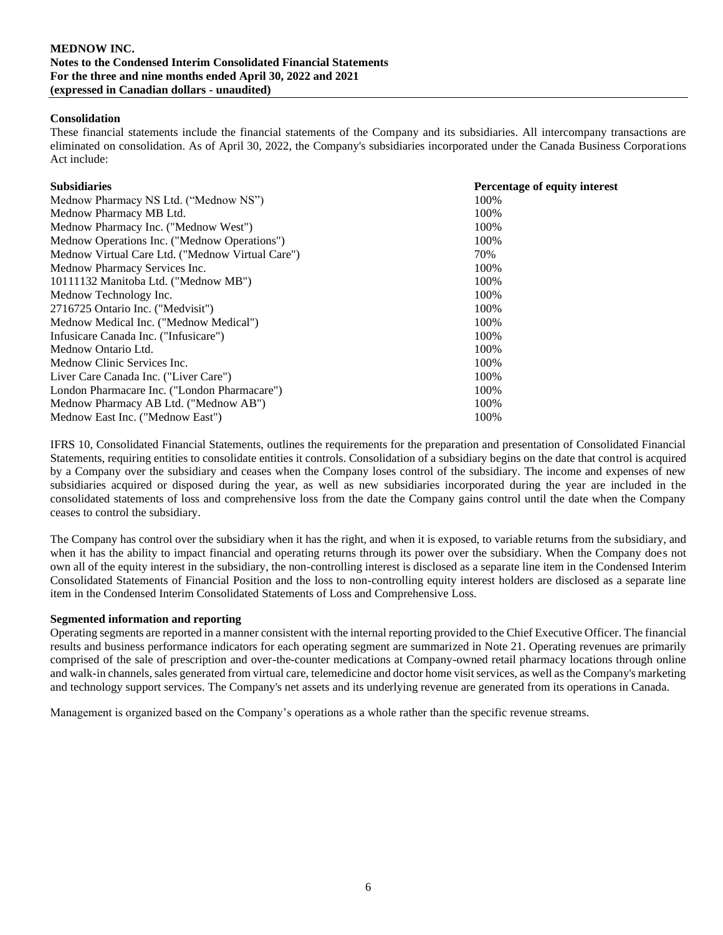## **Consolidation**

These financial statements include the financial statements of the Company and its subsidiaries. All intercompany transactions are eliminated on consolidation. As of April 30, 2022, the Company's subsidiaries incorporated under the Canada Business Corporations Act include:

| <b>Subsidiaries</b>                              | Percentage of equity interest |
|--------------------------------------------------|-------------------------------|
| Mednow Pharmacy NS Ltd. ("Mednow NS")            | 100%                          |
| Mednow Pharmacy MB Ltd.                          | 100%                          |
| Mednow Pharmacy Inc. ("Mednow West")             | 100%                          |
| Mednow Operations Inc. ("Mednow Operations")     | 100%                          |
| Mednow Virtual Care Ltd. ("Mednow Virtual Care") | 70%                           |
| Mednow Pharmacy Services Inc.                    | 100%                          |
| 10111132 Manitoba Ltd. ("Mednow MB")             | 100%                          |
| Mednow Technology Inc.                           | 100%                          |
| 2716725 Ontario Inc. ("Medvisit")                | 100%                          |
| Mednow Medical Inc. ("Mednow Medical")           | 100%                          |
| Infusicare Canada Inc. ("Infusicare")            | 100%                          |
| Mednow Ontario Ltd.                              | 100%                          |
| Mednow Clinic Services Inc.                      | 100%                          |
| Liver Care Canada Inc. ("Liver Care")            | 100%                          |
| London Pharmacare Inc. ("London Pharmacare")     | 100%                          |
| Mednow Pharmacy AB Ltd. ("Mednow AB")            | 100%                          |
| Mednow East Inc. ("Mednow East")                 | 100%                          |

IFRS 10, Consolidated Financial Statements, outlines the requirements for the preparation and presentation of Consolidated Financial Statements, requiring entities to consolidate entities it controls. Consolidation of a subsidiary begins on the date that control is acquired by a Company over the subsidiary and ceases when the Company loses control of the subsidiary. The income and expenses of new subsidiaries acquired or disposed during the year, as well as new subsidiaries incorporated during the year are included in the consolidated statements of loss and comprehensive loss from the date the Company gains control until the date when the Company ceases to control the subsidiary.

The Company has control over the subsidiary when it has the right, and when it is exposed, to variable returns from the subsidiary, and when it has the ability to impact financial and operating returns through its power over the subsidiary. When the Company does not own all of the equity interest in the subsidiary, the non-controlling interest is disclosed as a separate line item in the Condensed Interim Consolidated Statements of Financial Position and the loss to non-controlling equity interest holders are disclosed as a separate line item in the Condensed Interim Consolidated Statements of Loss and Comprehensive Loss.

#### **Segmented information and reporting**

Operating segments are reported in a manner consistent with the internal reporting provided to the Chief Executive Officer. The financial results and business performance indicators for each operating segment are summarized in Note 21. Operating revenues are primarily comprised of the sale of prescription and over-the-counter medications at Company-owned retail pharmacy locations through online and walk-in channels, sales generated from virtual care, telemedicine and doctor home visit services, as well as the Company's marketing and technology support services. The Company's net assets and its underlying revenue are generated from its operations in Canada.

Management is organized based on the Company's operations as a whole rather than the specific revenue streams.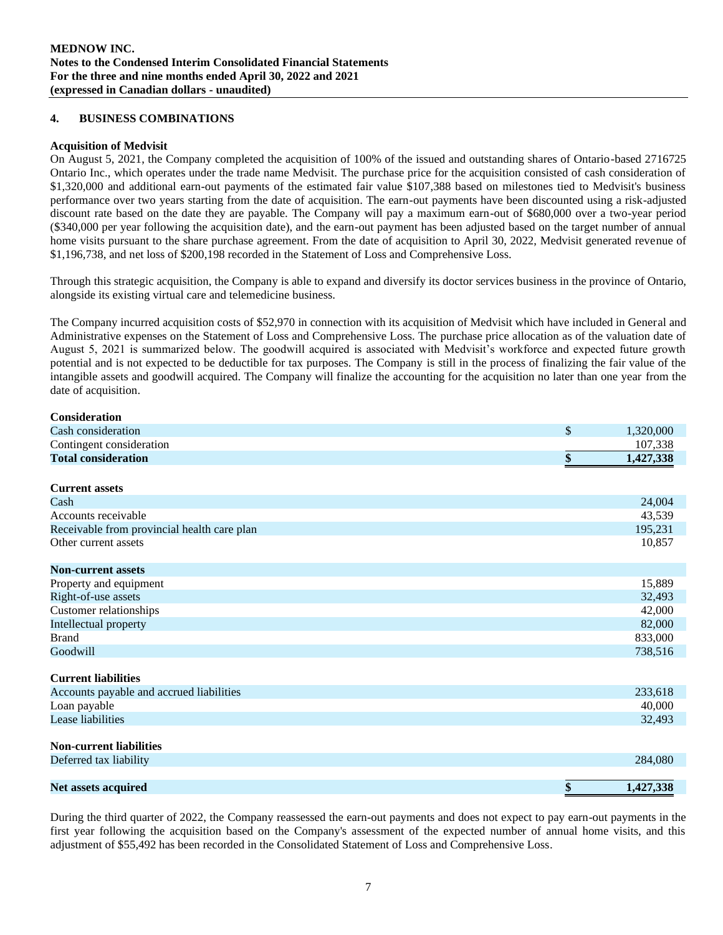## **4. BUSINESS COMBINATIONS**

## **Acquisition of Medvisit**

On August 5, 2021, the Company completed the acquisition of 100% of the issued and outstanding shares of Ontario-based 2716725 Ontario Inc., which operates under the trade name Medvisit. The purchase price for the acquisition consisted of cash consideration of \$1,320,000 and additional earn-out payments of the estimated fair value \$107,388 based on milestones tied to Medvisit's business performance over two years starting from the date of acquisition. The earn-out payments have been discounted using a risk-adjusted discount rate based on the date they are payable. The Company will pay a maximum earn-out of \$680,000 over a two-year period (\$340,000 per year following the acquisition date), and the earn-out payment has been adjusted based on the target number of annual home visits pursuant to the share purchase agreement. From the date of acquisition to April 30, 2022, Medvisit generated revenue of \$1,196,738, and net loss of \$200,198 recorded in the Statement of Loss and Comprehensive Loss.

Through this strategic acquisition, the Company is able to expand and diversify its doctor services business in the province of Ontario, alongside its existing virtual care and telemedicine business.

The Company incurred acquisition costs of \$52,970 in connection with its acquisition of Medvisit which have included in General and Administrative expenses on the Statement of Loss and Comprehensive Loss. The purchase price allocation as of the valuation date of August 5, 2021 is summarized below. The goodwill acquired is associated with Medvisit's workforce and expected future growth potential and is not expected to be deductible for tax purposes. The Company is still in the process of finalizing the fair value of the intangible assets and goodwill acquired. The Company will finalize the accounting for the acquisition no later than one year from the date of acquisition.

| <b>Consideration</b>                        |                 |
|---------------------------------------------|-----------------|
| Cash consideration                          | \$<br>1,320,000 |
| Contingent consideration                    | 107,338         |
| <b>Total consideration</b>                  | \$<br>1,427,338 |
| <b>Current assets</b>                       |                 |
| Cash                                        | 24,004          |
| Accounts receivable                         | 43,539          |
| Receivable from provincial health care plan | 195,231         |
| Other current assets                        | 10,857          |
| <b>Non-current assets</b>                   |                 |
| Property and equipment                      | 15,889          |
| Right-of-use assets                         | 32,493          |
| Customer relationships                      | 42,000          |
| Intellectual property                       | 82,000          |
| <b>Brand</b>                                | 833,000         |
| Goodwill                                    | 738,516         |
| <b>Current liabilities</b>                  |                 |
| Accounts payable and accrued liabilities    | 233,618         |
| Loan payable                                | 40,000          |
| Lease liabilities                           | 32,493          |
| <b>Non-current liabilities</b>              |                 |
| Deferred tax liability                      | 284,080         |
| <b>Net assets acquired</b>                  | \$<br>1,427,338 |

During the third quarter of 2022, the Company reassessed the earn-out payments and does not expect to pay earn-out payments in the first year following the acquisition based on the Company's assessment of the expected number of annual home visits, and this adjustment of \$55,492 has been recorded in the Consolidated Statement of Loss and Comprehensive Loss.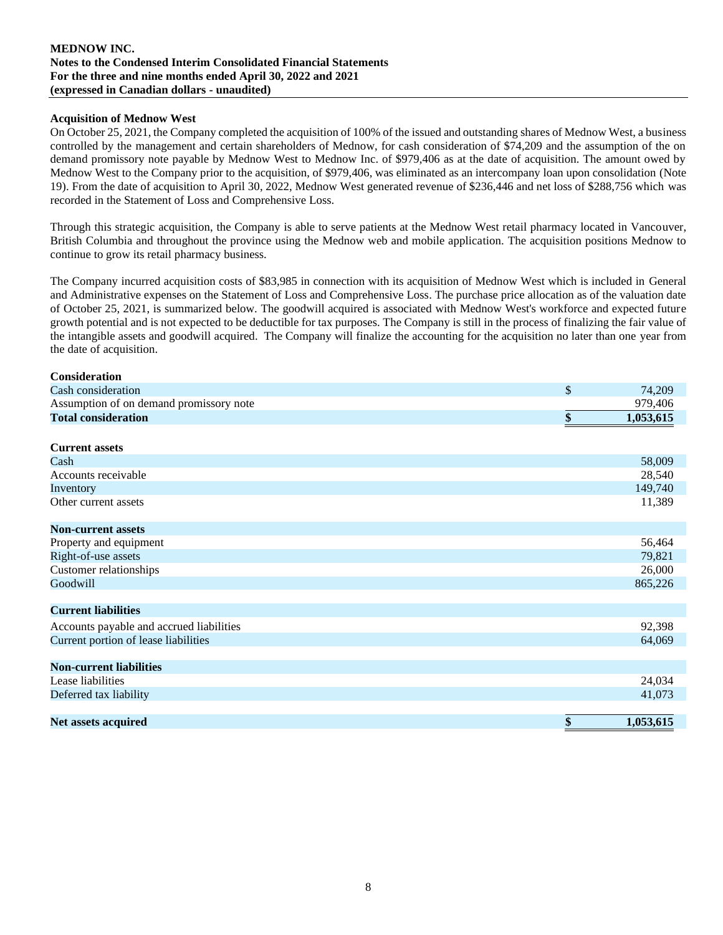## **Acquisition of Mednow West**

On October 25, 2021, the Company completed the acquisition of 100% of the issued and outstanding shares of Mednow West, a business controlled by the management and certain shareholders of Mednow, for cash consideration of \$74,209 and the assumption of the on demand promissory note payable by Mednow West to Mednow Inc. of \$979,406 as at the date of acquisition. The amount owed by Mednow West to the Company prior to the acquisition, of \$979,406, was eliminated as an intercompany loan upon consolidation (Note 19). From the date of acquisition to April 30, 2022, Mednow West generated revenue of \$236,446 and net loss of \$288,756 which was recorded in the Statement of Loss and Comprehensive Loss.

Through this strategic acquisition, the Company is able to serve patients at the Mednow West retail pharmacy located in Vancouver, British Columbia and throughout the province using the Mednow web and mobile application. The acquisition positions Mednow to continue to grow its retail pharmacy business.

The Company incurred acquisition costs of \$83,985 in connection with its acquisition of Mednow West which is included in General and Administrative expenses on the Statement of Loss and Comprehensive Loss. The purchase price allocation as of the valuation date of October 25, 2021, is summarized below. The goodwill acquired is associated with Mednow West's workforce and expected future growth potential and is not expected to be deductible for tax purposes. The Company is still in the process of finalizing the fair value of the intangible assets and goodwill acquired. The Company will finalize the accounting for the acquisition no later than one year from the date of acquisition.

| <b>Consideration</b>                     |                 |
|------------------------------------------|-----------------|
| Cash consideration                       | \$<br>74,209    |
| Assumption of on demand promissory note  | 979,406         |
| <b>Total consideration</b>               | \$<br>1,053,615 |
|                                          |                 |
| <b>Current assets</b>                    |                 |
| Cash                                     | 58,009          |
| Accounts receivable                      | 28,540          |
| Inventory                                | 149,740         |
| Other current assets                     | 11,389          |
|                                          |                 |
| <b>Non-current assets</b>                |                 |
| Property and equipment                   | 56,464          |
| Right-of-use assets                      | 79,821          |
| Customer relationships                   | 26,000          |
| Goodwill                                 | 865,226         |
| <b>Current liabilities</b>               |                 |
|                                          |                 |
| Accounts payable and accrued liabilities | 92,398          |
| Current portion of lease liabilities     | 64,069          |
| <b>Non-current liabilities</b>           |                 |
| Lease liabilities                        | 24,034          |
| Deferred tax liability                   | 41,073          |
|                                          |                 |
| Net assets acquired                      | \$<br>1,053,615 |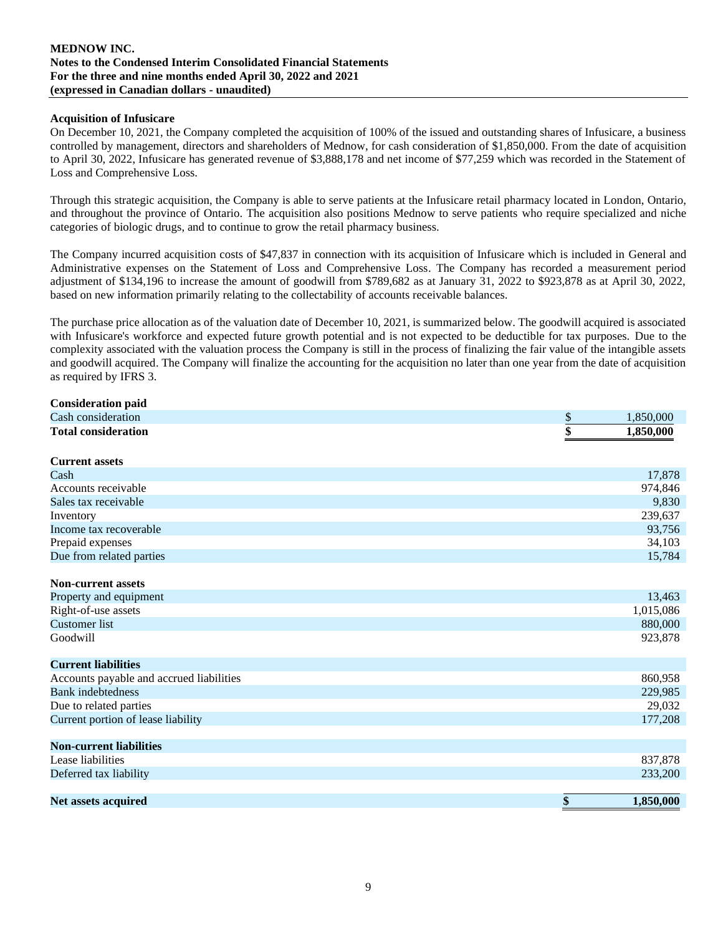#### **Acquisition of Infusicare**

On December 10, 2021, the Company completed the acquisition of 100% of the issued and outstanding shares of Infusicare, a business controlled by management, directors and shareholders of Mednow, for cash consideration of \$1,850,000. From the date of acquisition to April 30, 2022, Infusicare has generated revenue of \$3,888,178 and net income of \$77,259 which was recorded in the Statement of Loss and Comprehensive Loss.

Through this strategic acquisition, the Company is able to serve patients at the Infusicare retail pharmacy located in London, Ontario, and throughout the province of Ontario. The acquisition also positions Mednow to serve patients who require specialized and niche categories of biologic drugs, and to continue to grow the retail pharmacy business.

The Company incurred acquisition costs of \$47,837 in connection with its acquisition of Infusicare which is included in General and Administrative expenses on the Statement of Loss and Comprehensive Loss. The Company has recorded a measurement period adjustment of \$134,196 to increase the amount of goodwill from \$789,682 as at January 31, 2022 to \$923,878 as at April 30, 2022, based on new information primarily relating to the collectability of accounts receivable balances.

The purchase price allocation as of the valuation date of December 10, 2021, is summarized below. The goodwill acquired is associated with Infusicare's workforce and expected future growth potential and is not expected to be deductible for tax purposes. Due to the complexity associated with the valuation process the Company is still in the process of finalizing the fair value of the intangible assets and goodwill acquired. The Company will finalize the accounting for the acquisition no later than one year from the date of acquisition as required by IFRS 3.

| <b>Consideration paid</b>                |                 |
|------------------------------------------|-----------------|
| Cash consideration                       | \$<br>1,850,000 |
| <b>Total consideration</b>               | \$<br>1,850,000 |
| <b>Current assets</b>                    |                 |
| Cash                                     | 17,878          |
| Accounts receivable                      | 974,846         |
| Sales tax receivable                     | 9,830           |
| Inventory                                | 239,637         |
| Income tax recoverable                   | 93,756          |
| Prepaid expenses                         | 34,103          |
| Due from related parties                 | 15,784          |
|                                          |                 |
| <b>Non-current assets</b>                |                 |
| Property and equipment                   | 13,463          |
| Right-of-use assets                      | 1,015,086       |
| <b>Customer</b> list                     | 880,000         |
| Goodwill                                 | 923,878         |
| <b>Current liabilities</b>               |                 |
| Accounts payable and accrued liabilities | 860,958         |
| <b>Bank</b> indebtedness                 | 229,985         |
| Due to related parties                   | 29,032          |
| Current portion of lease liability       | 177,208         |
| <b>Non-current liabilities</b>           |                 |
| Lease liabilities                        | 837,878         |
| Deferred tax liability                   | 233,200         |
|                                          |                 |
| Net assets acquired                      | \$<br>1,850,000 |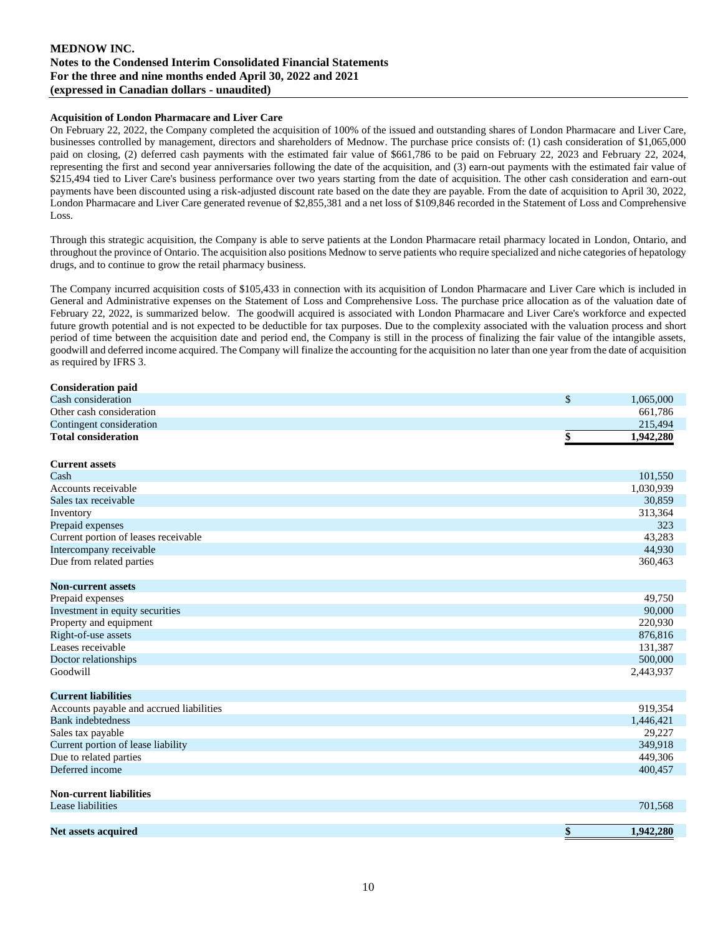#### **Acquisition of London Pharmacare and Liver Care**

On February 22, 2022, the Company completed the acquisition of 100% of the issued and outstanding shares of London Pharmacare and Liver Care, businesses controlled by management, directors and shareholders of Mednow. The purchase price consists of: (1) cash consideration of \$1,065,000 paid on closing, (2) deferred cash payments with the estimated fair value of \$661,786 to be paid on February 22, 2023 and February 22, 2024, representing the first and second year anniversaries following the date of the acquisition, and (3) earn-out payments with the estimated fair value of \$215,494 tied to Liver Care's business performance over two years starting from the date of acquisition. The other cash consideration and earn-out payments have been discounted using a risk-adjusted discount rate based on the date they are payable. From the date of acquisition to April 30, 2022, London Pharmacare and Liver Care generated revenue of \$2,855,381 and a net loss of \$109,846 recorded in the Statement of Loss and Comprehensive Loss.

Through this strategic acquisition, the Company is able to serve patients at the London Pharmacare retail pharmacy located in London, Ontario, and throughout the province of Ontario. The acquisition also positions Mednow to serve patients who require specialized and niche categories of hepatology drugs, and to continue to grow the retail pharmacy business.

The Company incurred acquisition costs of \$105,433 in connection with its acquisition of London Pharmacare and Liver Care which is included in General and Administrative expenses on the Statement of Loss and Comprehensive Loss. The purchase price allocation as of the valuation date of February 22, 2022, is summarized below. The goodwill acquired is associated with London Pharmacare and Liver Care's workforce and expected future growth potential and is not expected to be deductible for tax purposes. Due to the complexity associated with the valuation process and short period of time between the acquisition date and period end, the Company is still in the process of finalizing the fair value of the intangible assets, goodwill and deferred income acquired. The Company will finalize the accounting for the acquisition no later than one year from the date of acquisition as required by IFRS 3.

| <b>Consideration paid</b>                |                 |
|------------------------------------------|-----------------|
| Cash consideration                       | \$<br>1,065,000 |
| Other cash consideration                 | 661,786         |
| Contingent consideration                 | 215,494         |
| <b>Total consideration</b>               | \$<br>1,942,280 |
| <b>Current assets</b>                    |                 |
| Cash                                     | 101,550         |
| Accounts receivable                      | 1,030,939       |
| Sales tax receivable                     | 30,859          |
| Inventory                                | 313,364         |
| Prepaid expenses                         | 323             |
| Current portion of leases receivable     | 43,283          |
| Intercompany receivable                  | 44,930          |
| Due from related parties                 | 360,463         |
| <b>Non-current assets</b>                |                 |
| Prepaid expenses                         | 49,750          |
| Investment in equity securities          | 90,000          |
| Property and equipment                   | 220,930         |
| Right-of-use assets                      | 876,816         |
| Leases receivable                        | 131,387         |
| Doctor relationships                     | 500,000         |
| Goodwill                                 | 2,443,937       |
| <b>Current liabilities</b>               |                 |
| Accounts payable and accrued liabilities | 919,354         |
| <b>Bank</b> indebtedness                 | 1,446,421       |
| Sales tax payable                        | 29,227          |
| Current portion of lease liability       | 349,918         |
| Due to related parties                   | 449,306         |
| Deferred income                          | 400,457         |
| <b>Non-current liabilities</b>           |                 |
| Lease liabilities                        | 701,568         |
| <b>Net assets acquired</b>               | \$<br>1,942,280 |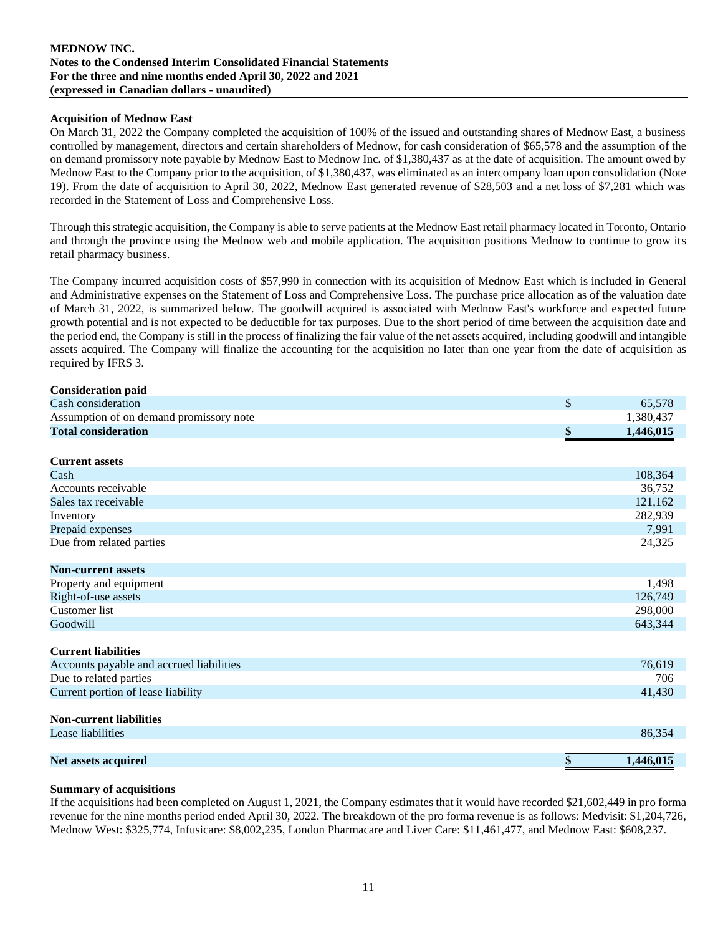## **Acquisition of Mednow East**

On March 31, 2022 the Company completed the acquisition of 100% of the issued and outstanding shares of Mednow East, a business controlled by management, directors and certain shareholders of Mednow, for cash consideration of \$65,578 and the assumption of the on demand promissory note payable by Mednow East to Mednow Inc. of \$1,380,437 as at the date of acquisition. The amount owed by Mednow East to the Company prior to the acquisition, of \$1,380,437, was eliminated as an intercompany loan upon consolidation (Note 19). From the date of acquisition to April 30, 2022, Mednow East generated revenue of \$28,503 and a net loss of \$7,281 which was recorded in the Statement of Loss and Comprehensive Loss.

Through this strategic acquisition, the Company is able to serve patients at the Mednow East retail pharmacy located in Toronto, Ontario and through the province using the Mednow web and mobile application. The acquisition positions Mednow to continue to grow its retail pharmacy business.

The Company incurred acquisition costs of \$57,990 in connection with its acquisition of Mednow East which is included in General and Administrative expenses on the Statement of Loss and Comprehensive Loss. The purchase price allocation as of the valuation date of March 31, 2022, is summarized below. The goodwill acquired is associated with Mednow East's workforce and expected future growth potential and is not expected to be deductible for tax purposes. Due to the short period of time between the acquisition date and the period end, the Company is still in the process of finalizing the fair value of the net assets acquired, including goodwill and intangible assets acquired. The Company will finalize the accounting for the acquisition no later than one year from the date of acquisition as required by IFRS 3.

| <b>Consideration paid</b>                |               |           |
|------------------------------------------|---------------|-----------|
| Cash consideration                       | $\mathcal{S}$ | 65,578    |
| Assumption of on demand promissory note  |               | 1,380,437 |
| <b>Total consideration</b>               | \$            | 1,446,015 |
| <b>Current assets</b>                    |               |           |
| Cash                                     |               | 108,364   |
| Accounts receivable                      |               | 36,752    |
| Sales tax receivable                     |               | 121,162   |
| Inventory                                |               | 282,939   |
| Prepaid expenses                         |               | 7,991     |
| Due from related parties                 |               | 24,325    |
| <b>Non-current assets</b>                |               |           |
| Property and equipment                   |               | 1,498     |
| Right-of-use assets                      |               | 126,749   |
| <b>Customer</b> list                     |               | 298,000   |
| Goodwill                                 |               | 643,344   |
| <b>Current liabilities</b>               |               |           |
| Accounts payable and accrued liabilities |               | 76,619    |
| Due to related parties                   |               | 706       |
| Current portion of lease liability       |               | 41,430    |
| <b>Non-current liabilities</b>           |               |           |
| Lease liabilities                        |               | 86,354    |
|                                          |               |           |
| Net assets acquired                      | \$            | 1,446,015 |

#### **Summary of acquisitions**

If the acquisitions had been completed on August 1, 2021, the Company estimates that it would have recorded \$21,602,449 in pro forma revenue for the nine months period ended April 30, 2022. The breakdown of the pro forma revenue is as follows: Medvisit: \$1,204,726, Mednow West: \$325,774, Infusicare: \$8,002,235, London Pharmacare and Liver Care: \$11,461,477, and Mednow East: \$608,237.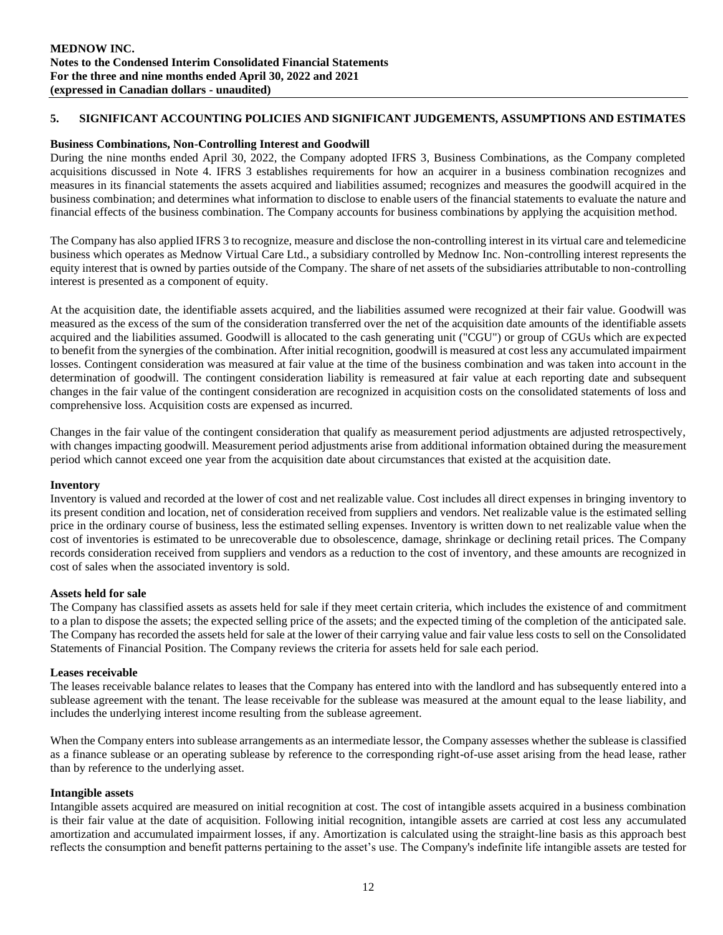## **5. SIGNIFICANT ACCOUNTING POLICIES AND SIGNIFICANT JUDGEMENTS, ASSUMPTIONS AND ESTIMATES**

#### **Business Combinations, Non-Controlling Interest and Goodwill**

During the nine months ended April 30, 2022, the Company adopted IFRS 3, Business Combinations, as the Company completed acquisitions discussed in Note 4. IFRS 3 establishes requirements for how an acquirer in a business combination recognizes and measures in its financial statements the assets acquired and liabilities assumed; recognizes and measures the goodwill acquired in the business combination; and determines what information to disclose to enable users of the financial statements to evaluate the nature and financial effects of the business combination. The Company accounts for business combinations by applying the acquisition method.

The Company has also applied IFRS 3 to recognize, measure and disclose the non-controlling interest in its virtual care and telemedicine business which operates as Mednow Virtual Care Ltd., a subsidiary controlled by Mednow Inc. Non-controlling interest represents the equity interest that is owned by parties outside of the Company. The share of net assets of the subsidiaries attributable to non-controlling interest is presented as a component of equity.

At the acquisition date, the identifiable assets acquired, and the liabilities assumed were recognized at their fair value. Goodwill was measured as the excess of the sum of the consideration transferred over the net of the acquisition date amounts of the identifiable assets acquired and the liabilities assumed. Goodwill is allocated to the cash generating unit ("CGU") or group of CGUs which are expected to benefit from the synergies of the combination. After initial recognition, goodwill is measured at cost less any accumulated impairment losses. Contingent consideration was measured at fair value at the time of the business combination and was taken into account in the determination of goodwill. The contingent consideration liability is remeasured at fair value at each reporting date and subsequent changes in the fair value of the contingent consideration are recognized in acquisition costs on the consolidated statements of loss and comprehensive loss. Acquisition costs are expensed as incurred.

Changes in the fair value of the contingent consideration that qualify as measurement period adjustments are adjusted retrospectively, with changes impacting goodwill. Measurement period adjustments arise from additional information obtained during the measurement period which cannot exceed one year from the acquisition date about circumstances that existed at the acquisition date.

#### **Inventory**

Inventory is valued and recorded at the lower of cost and net realizable value. Cost includes all direct expenses in bringing inventory to its present condition and location, net of consideration received from suppliers and vendors. Net realizable value is the estimated selling price in the ordinary course of business, less the estimated selling expenses. Inventory is written down to net realizable value when the cost of inventories is estimated to be unrecoverable due to obsolescence, damage, shrinkage or declining retail prices. The Company records consideration received from suppliers and vendors as a reduction to the cost of inventory, and these amounts are recognized in cost of sales when the associated inventory is sold.

#### **Assets held for sale**

The Company has classified assets as assets held for sale if they meet certain criteria, which includes the existence of and commitment to a plan to dispose the assets; the expected selling price of the assets; and the expected timing of the completion of the anticipated sale. The Company has recorded the assets held for sale at the lower of their carrying value and fair value less costs to sell on the Consolidated Statements of Financial Position. The Company reviews the criteria for assets held for sale each period.

#### **Leases receivable**

The leases receivable balance relates to leases that the Company has entered into with the landlord and has subsequently entered into a sublease agreement with the tenant. The lease receivable for the sublease was measured at the amount equal to the lease liability, and includes the underlying interest income resulting from the sublease agreement.

When the Company enters into sublease arrangements as an intermediate lessor, the Company assesses whether the sublease is classified as a finance sublease or an operating sublease by reference to the corresponding right-of-use asset arising from the head lease, rather than by reference to the underlying asset.

#### **Intangible assets**

Intangible assets acquired are measured on initial recognition at cost. The cost of intangible assets acquired in a business combination is their fair value at the date of acquisition. Following initial recognition, intangible assets are carried at cost less any accumulated amortization and accumulated impairment losses, if any. Amortization is calculated using the straight-line basis as this approach best reflects the consumption and benefit patterns pertaining to the asset's use. The Company's indefinite life intangible assets are tested for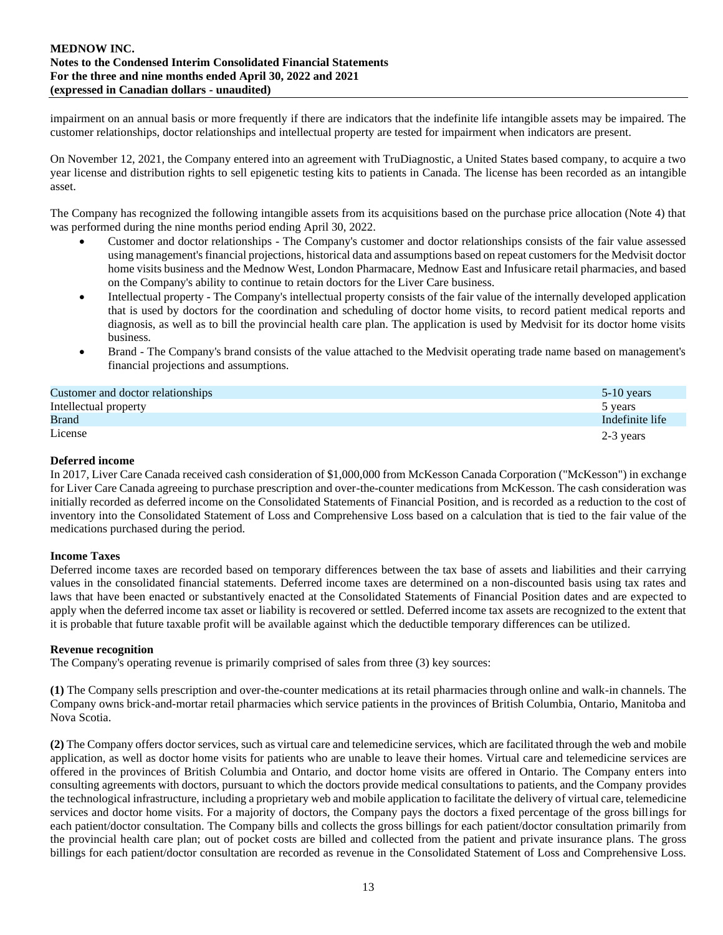impairment on an annual basis or more frequently if there are indicators that the indefinite life intangible assets may be impaired. The customer relationships, doctor relationships and intellectual property are tested for impairment when indicators are present.

On November 12, 2021, the Company entered into an agreement with TruDiagnostic, a United States based company, to acquire a two year license and distribution rights to sell epigenetic testing kits to patients in Canada. The license has been recorded as an intangible asset.

The Company has recognized the following intangible assets from its acquisitions based on the purchase price allocation (Note 4) that was performed during the nine months period ending April 30, 2022.

- Customer and doctor relationships The Company's customer and doctor relationships consists of the fair value assessed using management's financial projections, historical data and assumptions based on repeat customers for the Medvisit doctor home visits business and the Mednow West, London Pharmacare, Mednow East and Infusicare retail pharmacies, and based on the Company's ability to continue to retain doctors for the Liver Care business.
- Intellectual property The Company's intellectual property consists of the fair value of the internally developed application that is used by doctors for the coordination and scheduling of doctor home visits, to record patient medical reports and diagnosis, as well as to bill the provincial health care plan. The application is used by Medvisit for its doctor home visits business.
- Brand The Company's brand consists of the value attached to the Medvisit operating trade name based on management's financial projections and assumptions.

| Customer and doctor relationships | $5-10$ years    |
|-----------------------------------|-----------------|
| Intellectual property             | 5 years         |
| <b>Brand</b>                      | Indefinite life |
| License                           | 2-3 years       |

## **Deferred income**

In 2017, Liver Care Canada received cash consideration of \$1,000,000 from McKesson Canada Corporation ("McKesson") in exchange for Liver Care Canada agreeing to purchase prescription and over-the-counter medications from McKesson. The cash consideration was initially recorded as deferred income on the Consolidated Statements of Financial Position, and is recorded as a reduction to the cost of inventory into the Consolidated Statement of Loss and Comprehensive Loss based on a calculation that is tied to the fair value of the medications purchased during the period.

## **Income Taxes**

Deferred income taxes are recorded based on temporary differences between the tax base of assets and liabilities and their carrying values in the consolidated financial statements. Deferred income taxes are determined on a non-discounted basis using tax rates and laws that have been enacted or substantively enacted at the Consolidated Statements of Financial Position dates and are expected to apply when the deferred income tax asset or liability is recovered or settled. Deferred income tax assets are recognized to the extent that it is probable that future taxable profit will be available against which the deductible temporary differences can be utilized.

## **Revenue recognition**

The Company's operating revenue is primarily comprised of sales from three (3) key sources:

**(1)** The Company sells prescription and over-the-counter medications at its retail pharmacies through online and walk-in channels. The Company owns brick-and-mortar retail pharmacies which service patients in the provinces of British Columbia, Ontario, Manitoba and Nova Scotia.

**(2)** The Company offers doctor services, such as virtual care and telemedicine services, which are facilitated through the web and mobile application, as well as doctor home visits for patients who are unable to leave their homes. Virtual care and telemedicine services are offered in the provinces of British Columbia and Ontario, and doctor home visits are offered in Ontario. The Company enters into consulting agreements with doctors, pursuant to which the doctors provide medical consultations to patients, and the Company provides the technological infrastructure, including a proprietary web and mobile application to facilitate the delivery of virtual care, telemedicine services and doctor home visits. For a majority of doctors, the Company pays the doctors a fixed percentage of the gross billings for each patient/doctor consultation. The Company bills and collects the gross billings for each patient/doctor consultation primarily from the provincial health care plan; out of pocket costs are billed and collected from the patient and private insurance plans. The gross billings for each patient/doctor consultation are recorded as revenue in the Consolidated Statement of Loss and Comprehensive Loss.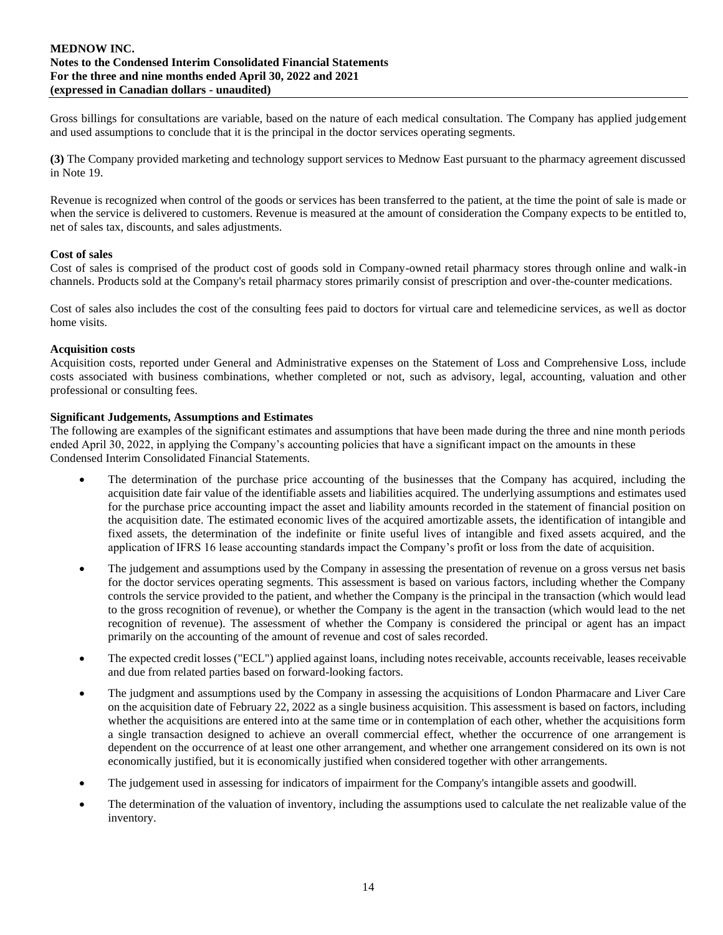Gross billings for consultations are variable, based on the nature of each medical consultation. The Company has applied judgement and used assumptions to conclude that it is the principal in the doctor services operating segments.

**(3)** The Company provided marketing and technology support services to Mednow East pursuant to the pharmacy agreement discussed in Note 19.

Revenue is recognized when control of the goods or services has been transferred to the patient, at the time the point of sale is made or when the service is delivered to customers. Revenue is measured at the amount of consideration the Company expects to be entitled to, net of sales tax, discounts, and sales adjustments.

#### **Cost of sales**

Cost of sales is comprised of the product cost of goods sold in Company-owned retail pharmacy stores through online and walk-in channels. Products sold at the Company's retail pharmacy stores primarily consist of prescription and over-the-counter medications.

Cost of sales also includes the cost of the consulting fees paid to doctors for virtual care and telemedicine services, as well as doctor home visits.

#### **Acquisition costs**

Acquisition costs, reported under General and Administrative expenses on the Statement of Loss and Comprehensive Loss, include costs associated with business combinations, whether completed or not, such as advisory, legal, accounting, valuation and other professional or consulting fees.

#### **Significant Judgements, Assumptions and Estimates**

The following are examples of the significant estimates and assumptions that have been made during the three and nine month periods ended April 30, 2022, in applying the Company's accounting policies that have a significant impact on the amounts in these Condensed Interim Consolidated Financial Statements.

- The determination of the purchase price accounting of the businesses that the Company has acquired, including the acquisition date fair value of the identifiable assets and liabilities acquired. The underlying assumptions and estimates used for the purchase price accounting impact the asset and liability amounts recorded in the statement of financial position on the acquisition date. The estimated economic lives of the acquired amortizable assets, the identification of intangible and fixed assets, the determination of the indefinite or finite useful lives of intangible and fixed assets acquired, and the application of IFRS 16 lease accounting standards impact the Company's profit or loss from the date of acquisition.
- The judgement and assumptions used by the Company in assessing the presentation of revenue on a gross versus net basis for the doctor services operating segments. This assessment is based on various factors, including whether the Company controls the service provided to the patient, and whether the Company is the principal in the transaction (which would lead to the gross recognition of revenue), or whether the Company is the agent in the transaction (which would lead to the net recognition of revenue). The assessment of whether the Company is considered the principal or agent has an impact primarily on the accounting of the amount of revenue and cost of sales recorded.
- The expected credit losses ("ECL") applied against loans, including notes receivable, accounts receivable, leases receivable and due from related parties based on forward-looking factors.
- The judgment and assumptions used by the Company in assessing the acquisitions of London Pharmacare and Liver Care on the acquisition date of February 22, 2022 as a single business acquisition. This assessment is based on factors, including whether the acquisitions are entered into at the same time or in contemplation of each other, whether the acquisitions form a single transaction designed to achieve an overall commercial effect, whether the occurrence of one arrangement is dependent on the occurrence of at least one other arrangement, and whether one arrangement considered on its own is not economically justified, but it is economically justified when considered together with other arrangements.
- The judgement used in assessing for indicators of impairment for the Company's intangible assets and goodwill.
- The determination of the valuation of inventory, including the assumptions used to calculate the net realizable value of the inventory.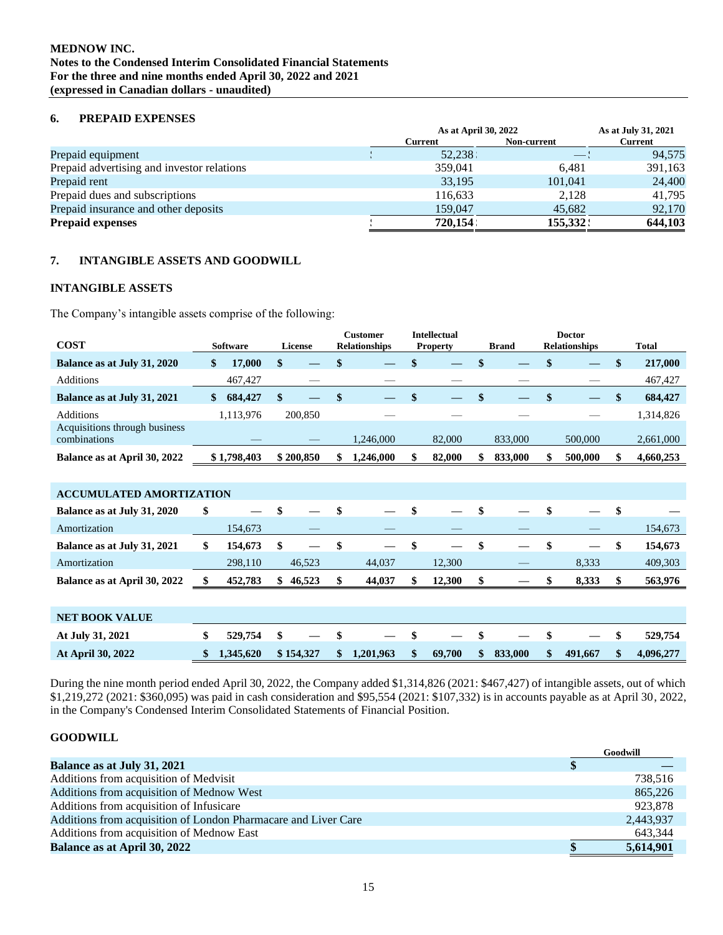## **6. PREPAID EXPENSES**

|                                            | As at April 30, 2022 | As at July 31, 2021      |                |
|--------------------------------------------|----------------------|--------------------------|----------------|
|                                            | Current              | Non-current              | <b>Current</b> |
| Prepaid equipment                          | 52,238 :             | $\overline{\phantom{0}}$ | 94,575         |
| Prepaid advertising and investor relations | 359,041              | 6.481                    | 391,163        |
| Prepaid rent                               | 33,195               | 101,041                  | 24,400         |
| Prepaid dues and subscriptions             | 116,633              | 2,128                    | 41,795         |
| Prepaid insurance and other deposits       | 159,047              | 45,682                   | 92,170         |
| <b>Prepaid expenses</b>                    | 720.154              | 155.332                  | 644,103        |

## **7. INTANGIBLE ASSETS AND GOODWILL**

## **INTANGIBLE ASSETS**

The Company's intangible assets comprise of the following:

| <b>COST</b>                                   | <b>Software</b> | License   | <b>Customer</b><br><b>Relationships</b> |   | Intellectual<br><b>Property</b> | <b>Brand</b> | <b>Doctor</b><br><b>Relationships</b> | <b>Total</b> |
|-----------------------------------------------|-----------------|-----------|-----------------------------------------|---|---------------------------------|--------------|---------------------------------------|--------------|
| Balance as at July 31, 2020                   | \$<br>17.000    |           |                                         | S |                                 | \$           |                                       | 217,000      |
| <b>Additions</b>                              | 467,427         |           |                                         |   |                                 |              |                                       | 467,427      |
| Balance as at July 31, 2021                   | 684,427         |           |                                         |   |                                 |              |                                       | 684,427      |
| <b>Additions</b>                              | 1,113,976       | 200,850   |                                         |   |                                 |              |                                       | 1,314,826    |
| Acquisitions through business<br>combinations |                 |           | 1.246.000                               |   | 82,000                          | 833,000      | 500,000                               | 2,661,000    |
| Balance as at April 30, 2022                  | \$1,798,403     | \$200.850 | 1.246.000                               |   | 82,000                          | 833,000      | 500,000                               | 4,660,253    |

| <b>ACCUMULATED AMORTIZATION</b> |         |      |        |                   |        |    |  |       |         |
|---------------------------------|---------|------|--------|-------------------|--------|----|--|-------|---------|
| Balance as at July 31, 2020     | \$      |      |        |                   |        |    |  |       |         |
| Amortization                    | 154,673 |      |        |                   |        |    |  |       | 154,673 |
| Balance as at July 31, 2021     | 154,673 | - \$ |        | $\hspace{0.05cm}$ |        | -S |  |       | 154,673 |
| Amortization                    | 298,110 |      | 46,523 | 44,037            | 12,300 |    |  | 8,333 | 409,303 |
| Balance as at April 30, 2022    | 452,783 | SS.  | 46,523 | 44,037            | 12,300 |    |  | 8.333 | 563,976 |

| <b>NET BOOK VALUE</b>    |             |                                              |  |  |  |              |         |      |           |
|--------------------------|-------------|----------------------------------------------|--|--|--|--------------|---------|------|-----------|
| At July 31, 2021         |             | $529.754$ \$ $-$ \$ $-$ \$ $-$ \$ $-$ \$     |  |  |  |              |         |      | 529.754   |
| <b>At April 30, 2022</b> | \$1,345,620 | $$154,327$ $$1,201,963$ $$69,700$ $$833,000$ |  |  |  | $\mathbf{s}$ | 491.667 | - SF | 4.096.277 |

During the nine month period ended April 30, 2022, the Company added \$1,314,826 (2021: \$467,427) of intangible assets, out of which \$1,219,272 (2021: \$360,095) was paid in cash consideration and \$95,554 (2021: \$107,332) is in accounts payable as at April 30, 2022, in the Company's Condensed Interim Consolidated Statements of Financial Position.

## **GOODWILL**

|                                                                | Goodwill  |
|----------------------------------------------------------------|-----------|
| Balance as at July 31, 2021                                    |           |
| Additions from acquisition of Medvisit                         | 738.516   |
| Additions from acquisition of Mednow West                      | 865,226   |
| Additions from acquisition of Infusicare                       | 923.878   |
| Additions from acquisition of London Pharmacare and Liver Care | 2,443,937 |
| Additions from acquisition of Mednow East                      | 643,344   |
| <b>Balance as at April 30, 2022</b>                            | 5,614,901 |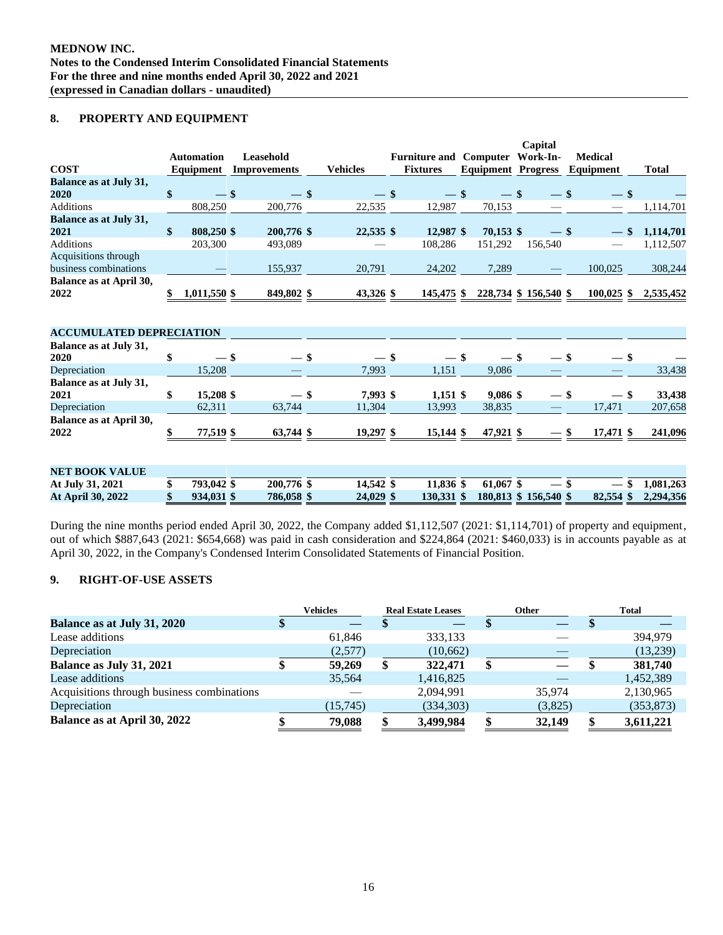## **8. PROPERTY AND EQUIPMENT**

|                                               |                    |                     |                 |                               |                           | Capital  |                          |                 |
|-----------------------------------------------|--------------------|---------------------|-----------------|-------------------------------|---------------------------|----------|--------------------------|-----------------|
|                                               | <b>Automation</b>  | <b>Leasehold</b>    |                 | <b>Furniture and Computer</b> |                           | Work-In- | <b>Medical</b>           |                 |
| <b>COST</b>                                   | Equipment          | <b>Improvements</b> | <b>Vehicles</b> | <b>Fixtures</b>               | <b>Equipment Progress</b> |          | Equipment                | <b>Total</b>    |
| Balance as at July 31,<br>2020                | \$<br>$-$ \$       | $-$ \$              | $-$ \$          | $-$ \$                        | $-$ \$                    | $-$ \$   |                          |                 |
| <b>Additions</b>                              | 808,250            | 200,776             | 22,535          | 12,987                        | 70,153                    |          | $-$ \$                   |                 |
|                                               |                    |                     |                 |                               |                           |          | $\overline{\phantom{a}}$ | 1,114,701       |
| <b>Balance as at July 31,</b><br>2021         | \$<br>808,250 \$   | 200,776 \$          | 22,535 \$       | 12,987 \$                     | $70,153$ \$               | $-$ \$   | $\overline{\phantom{m}}$ | \$<br>1,114,701 |
| Additions                                     | 203,300            | 493,089             |                 | 108,286                       | 151,292                   | 156,540  |                          | 1,112,507       |
| Acquisitions through<br>business combinations |                    | 155,937             | 20,791          | 24,202                        | 7,289                     |          | 100,025                  | 308,244         |
| Balance as at April 30,                       |                    |                     |                 |                               |                           |          |                          |                 |
| 2022                                          | \$<br>1,011,550 \$ | 849,802 \$          | 43,326 \$       | 145,475 \$                    | 228,734 \$ 156,540 \$     |          | $100,025$ \$             | 2,535,452       |
| <b>ACCUMULATED DEPRECIATION</b>               |                    |                     |                 |                               |                           |          |                          |                 |
| Balance as at July 31,<br>2020                | \$<br>$-$ \$       | $-$ \$              | $-$ \$          | $-$ \$                        | $-$ \$                    | $-$ \$   | — \$                     |                 |
| Depreciation                                  | 15,208             |                     | 7,993           | 1,151                         | 9,086                     |          |                          | 33,438          |
| Balance as at July 31,<br>2021                | \$<br>15,208 \$    | $-$ \$              | 7,993 \$        | $1,151$ \$                    | 9,086 \$                  | $-$ \$   | $-$ \$                   | 33,438          |
| Depreciation                                  | 62,311             | 63,744              | 11,304          | 13,993                        | 38,835                    |          | 17,471                   | 207,658         |
| Balance as at April 30,<br>2022               | \$<br>77,519 \$    | 63,744 \$           | 19,297 \$       | 15,144 \$                     | 47,921 \$                 | $-$ \$   | 17,471 \$                | 241,096         |
| <b>NET BOOK VALUE</b>                         |                    |                     |                 |                               |                           |          |                          |                 |

| At July 31, 2021<br>793,042 \$<br>14.542 \$<br>200,776 \$<br>11.836 \$<br>61.067 \$<br>$ \mathbf{v}$                         |                  |  |
|------------------------------------------------------------------------------------------------------------------------------|------------------|--|
|                                                                                                                              | $-$ \$ 1,081,263 |  |
| 24,029 \$<br>$130,331$ \$ $180,813$ \$ $156,540$ \$ $82,554$ \$ $2,294,356$<br>786,058 \$<br>At April 30, 2022<br>934.031 \$ |                  |  |

During the nine months period ended April 30, 2022, the Company added \$1,112,507 (2021: \$1,114,701) of property and equipment, out of which \$887,643 (2021: \$654,668) was paid in cash consideration and \$224,864 (2021: \$460,033) is in accounts payable as at April 30, 2022, in the Company's Condensed Interim Consolidated Statements of Financial Position.

## **9. RIGHT-OF-USE ASSETS**

|                                            | <b>Vehicles</b> | <b>Real Estate Leases</b> | <b>Other</b> | <b>Total</b> |
|--------------------------------------------|-----------------|---------------------------|--------------|--------------|
| Balance as at July 31, 2020                |                 |                           |              |              |
| Lease additions                            | 61,846          | 333,133                   |              | 394,979      |
| Depreciation                               | (2,577)         | (10,662)                  |              | (13,239)     |
| Balance as July 31, 2021                   | 59,269          | 322,471                   |              | 381,740      |
| Lease additions                            | 35,564          | 1,416,825                 |              | 1,452,389    |
| Acquisitions through business combinations |                 | 2,094,991                 | 35,974       | 2,130,965    |
| Depreciation                               | (15,745)        | (334,303)                 | (3,825)      | (353, 873)   |
| Balance as at April 30, 2022               | 79,088          | 3,499,984                 | 32,149       | 3,611,221    |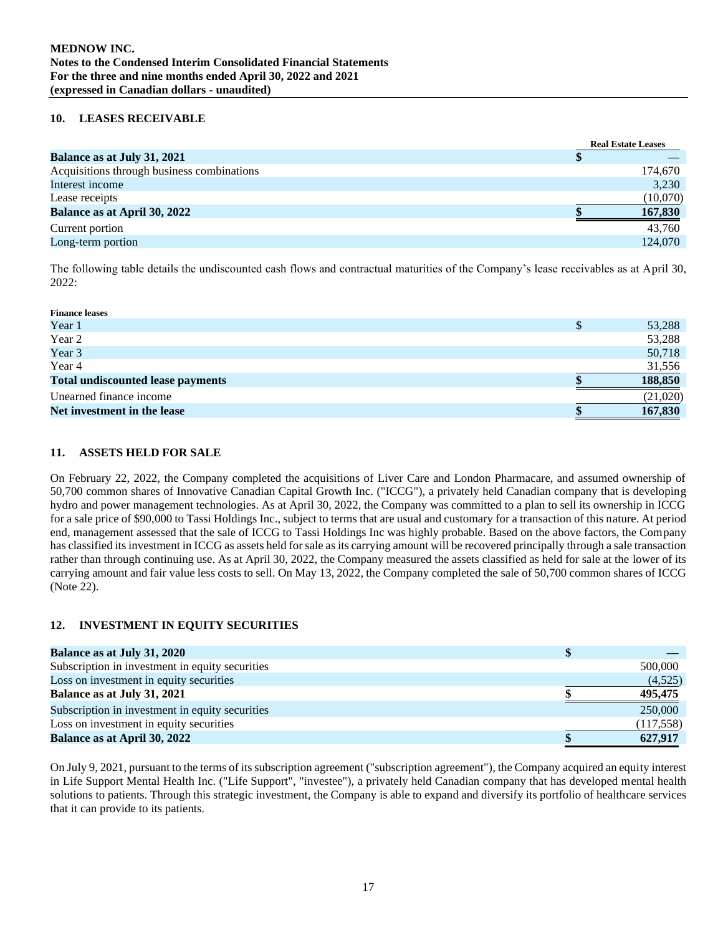## **10. LEASES RECEIVABLE**

|                                            |    | <b>Real Estate Leases</b> |
|--------------------------------------------|----|---------------------------|
| Balance as at July 31, 2021                | ۰D |                           |
| Acquisitions through business combinations |    | 174,670                   |
| Interest income                            |    | 3,230                     |
| Lease receipts                             |    | (10,070)                  |
| <b>Balance as at April 30, 2022</b>        |    | 167,830                   |
| Current portion                            |    | 43.760                    |
| Long-term portion                          |    | 124,070                   |

The following table details the undiscounted cash flows and contractual maturities of the Company's lease receivables as at April 30, 2022:

| <b>Finance leases</b>                    |          |
|------------------------------------------|----------|
| Year 1                                   | 53,288   |
| Year 2                                   | 53,288   |
| Year 3                                   | 50,718   |
| Year 4                                   | 31,556   |
| <b>Total undiscounted lease payments</b> | 188,850  |
| Unearned finance income                  | (21,020) |
| Net investment in the lease              | 167,830  |

## **11. ASSETS HELD FOR SALE**

On February 22, 2022, the Company completed the acquisitions of Liver Care and London Pharmacare, and assumed ownership of 50,700 common shares of Innovative Canadian Capital Growth Inc. ("ICCG"), a privately held Canadian company that is developing hydro and power management technologies. As at April 30, 2022, the Company was committed to a plan to sell its ownership in ICCG for a sale price of \$90,000 to Tassi Holdings Inc., subject to terms that are usual and customary for a transaction of this nature. At period end, management assessed that the sale of ICCG to Tassi Holdings Inc was highly probable. Based on the above factors, the Company has classified its investment in ICCG as assets held for sale as its carrying amount will be recovered principally through a sale transaction rather than through continuing use. As at April 30, 2022, the Company measured the assets classified as held for sale at the lower of its carrying amount and fair value less costs to sell. On May 13, 2022, the Company completed the sale of 50,700 common shares of ICCG (Note 22).

## **12. INVESTMENT IN EQUITY SECURITIES**

| <b>Balance as at July 31, 2020</b>              |            |
|-------------------------------------------------|------------|
| Subscription in investment in equity securities | 500,000    |
| Loss on investment in equity securities         | (4,525)    |
| Balance as at July 31, 2021                     | 495,475    |
| Subscription in investment in equity securities | 250,000    |
| Loss on investment in equity securities         | (117, 558) |
| <b>Balance as at April 30, 2022</b>             | 627,917    |

On July 9, 2021, pursuant to the terms of its subscription agreement ("subscription agreement"), the Company acquired an equity interest in Life Support Mental Health Inc. ("Life Support", "investee"), a privately held Canadian company that has developed mental health solutions to patients. Through this strategic investment, the Company is able to expand and diversify its portfolio of healthcare services that it can provide to its patients.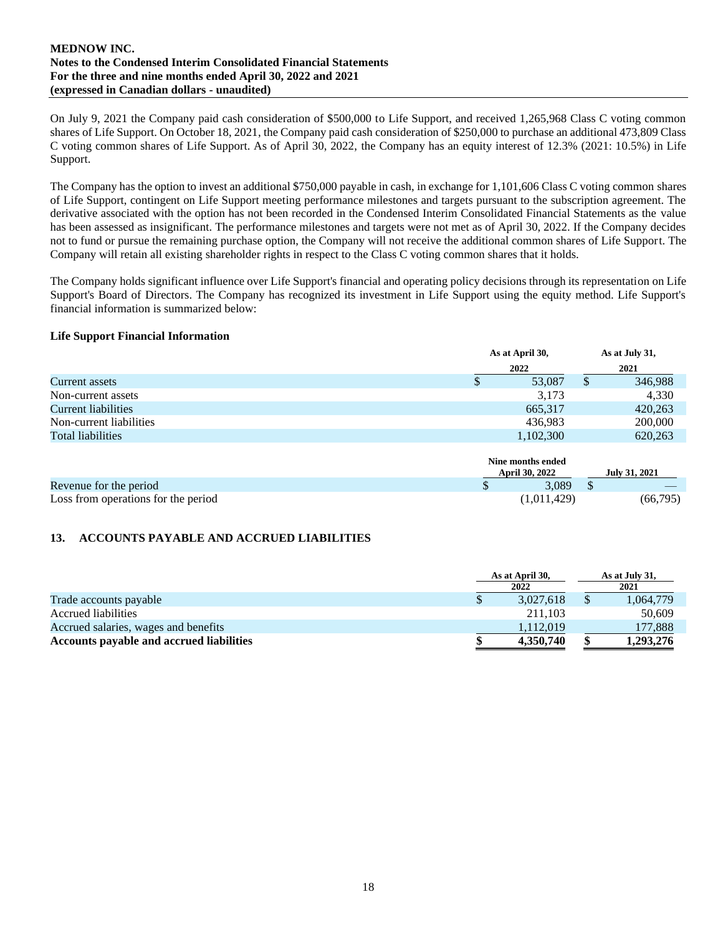On July 9, 2021 the Company paid cash consideration of \$500,000 to Life Support, and received 1,265,968 Class C voting common shares of Life Support. On October 18, 2021, the Company paid cash consideration of \$250,000 to purchase an additional 473,809 Class C voting common shares of Life Support. As of April 30, 2022, the Company has an equity interest of 12.3% (2021: 10.5%) in Life Support.

The Company has the option to invest an additional \$750,000 payable in cash, in exchange for 1,101,606 Class C voting common shares of Life Support, contingent on Life Support meeting performance milestones and targets pursuant to the subscription agreement. The derivative associated with the option has not been recorded in the Condensed Interim Consolidated Financial Statements as the value has been assessed as insignificant. The performance milestones and targets were not met as of April 30, 2022. If the Company decides not to fund or pursue the remaining purchase option, the Company will not receive the additional common shares of Life Support. The Company will retain all existing shareholder rights in respect to the Class C voting common shares that it holds.

The Company holds significant influence over Life Support's financial and operating policy decisions through its representation on Life Support's Board of Directors. The Company has recognized its investment in Life Support using the equity method. Life Support's financial information is summarized below:

#### **Life Support Financial Information**

|                         |   | As at April 30, |   | As at July 31, |
|-------------------------|---|-----------------|---|----------------|
|                         |   | 2022            |   | 2021           |
| Current assets          | S | 53,087          | S | 346,988        |
| Non-current assets      |   | 3,173           |   | 4,330          |
| Current liabilities     |   | 665,317         |   | 420,263        |
| Non-current liabilities |   | 436.983         |   | 200,000        |
| Total liabilities       |   | 1,102,300       |   | 620,263        |

|                                     | Nine months ended<br><b>April 30, 2022</b> | July 31, 2021 |
|-------------------------------------|--------------------------------------------|---------------|
| Revenue for the period              | 3.089                                      |               |
| Loss from operations for the period | (1,011,429)                                | (66,795)      |

## **13. ACCOUNTS PAYABLE AND ACCRUED LIABILITIES**

|                                          | As at April 30, | As at July 31, |
|------------------------------------------|-----------------|----------------|
|                                          | 2022            | 2021           |
| Trade accounts payable                   | 3.027.618       | 1,064,779      |
| Accrued liabilities                      | 211.103         | 50,609         |
| Accrued salaries, wages and benefits     | 1.112.019       | 177,888        |
| Accounts payable and accrued liabilities | 4,350,740       | 1,293,276      |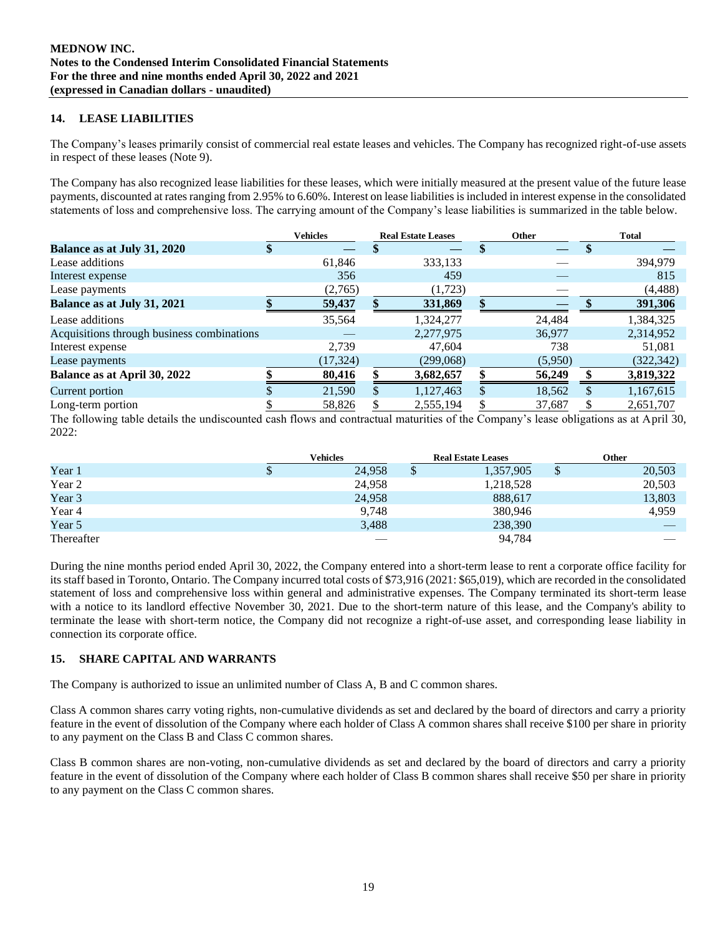## **14. LEASE LIABILITIES**

The Company's leases primarily consist of commercial real estate leases and vehicles. The Company has recognized right-of-use assets in respect of these leases (Note 9).

The Company has also recognized lease liabilities for these leases, which were initially measured at the present value of the future lease payments, discounted at rates ranging from 2.95% to 6.60%. Interest on lease liabilities is included in interest expense in the consolidated statements of loss and comprehensive loss. The carrying amount of the Company's lease liabilities is summarized in the table below.

|                                            | <b>Vehicles</b> | <b>Real Estate Leases</b> |  | <b>Other</b> | <b>Total</b> |            |  |
|--------------------------------------------|-----------------|---------------------------|--|--------------|--------------|------------|--|
| Balance as at July 31, 2020                |                 |                           |  |              |              |            |  |
| Lease additions                            | 61,846          | 333,133                   |  |              |              | 394,979    |  |
| Interest expense                           | 356             | 459                       |  |              |              | 815        |  |
| Lease payments                             | (2,765)         | (1,723)                   |  |              |              | (4, 488)   |  |
| Balance as at July 31, 2021                | 59,437          | 331,869                   |  |              |              | 391,306    |  |
| Lease additions                            | 35,564          | 1,324,277                 |  | 24,484       |              | 1,384,325  |  |
| Acquisitions through business combinations |                 | 2,277,975                 |  | 36,977       |              | 2,314,952  |  |
| Interest expense                           | 2.739           | 47,604                    |  | 738          |              | 51,081     |  |
| Lease payments                             | (17, 324)       | (299,068)                 |  | (5,950)      |              | (322, 342) |  |
| Balance as at April 30, 2022               | 80,416          | 3,682,657                 |  | 56,249       |              | 3,819,322  |  |
| Current portion                            | 21,590          | \$<br>1,127,463           |  | 18,562       | \$           | 1,167,615  |  |
| Long-term portion                          | 58,826          | \$<br>2,555,194           |  | 37,687       | S            | 2,651,707  |  |

The following table details the undiscounted cash flows and contractual maturities of the Company's lease obligations as at April 30, 2022:

|            | Vehicles | <b>Real Estate Leases</b> |           |   | Other                    |
|------------|----------|---------------------------|-----------|---|--------------------------|
| Year 1     | 24,958   |                           | 1,357,905 | S | 20,503                   |
| Year 2     | 24,958   |                           | 1,218,528 |   | 20,503                   |
| Year 3     | 24,958   |                           | 888,617   |   | 13,803                   |
| Year 4     | 9,748    |                           | 380,946   |   | 4,959                    |
| Year 5     | 3,488    |                           | 238,390   |   |                          |
| Thereafter | ___      |                           | 94,784    |   | $\overline{\phantom{a}}$ |

During the nine months period ended April 30, 2022, the Company entered into a short-term lease to rent a corporate office facility for its staff based in Toronto, Ontario. The Company incurred total costs of \$73,916 (2021: \$65,019), which are recorded in the consolidated statement of loss and comprehensive loss within general and administrative expenses. The Company terminated its short-term lease with a notice to its landlord effective November 30, 2021. Due to the short-term nature of this lease, and the Company's ability to terminate the lease with short-term notice, the Company did not recognize a right-of-use asset, and corresponding lease liability in connection its corporate office.

## **15. SHARE CAPITAL AND WARRANTS**

The Company is authorized to issue an unlimited number of Class A, B and C common shares.

Class A common shares carry voting rights, non-cumulative dividends as set and declared by the board of directors and carry a priority feature in the event of dissolution of the Company where each holder of Class A common shares shall receive \$100 per share in priority to any payment on the Class B and Class C common shares.

Class B common shares are non-voting, non-cumulative dividends as set and declared by the board of directors and carry a priority feature in the event of dissolution of the Company where each holder of Class B common shares shall receive \$50 per share in priority to any payment on the Class C common shares.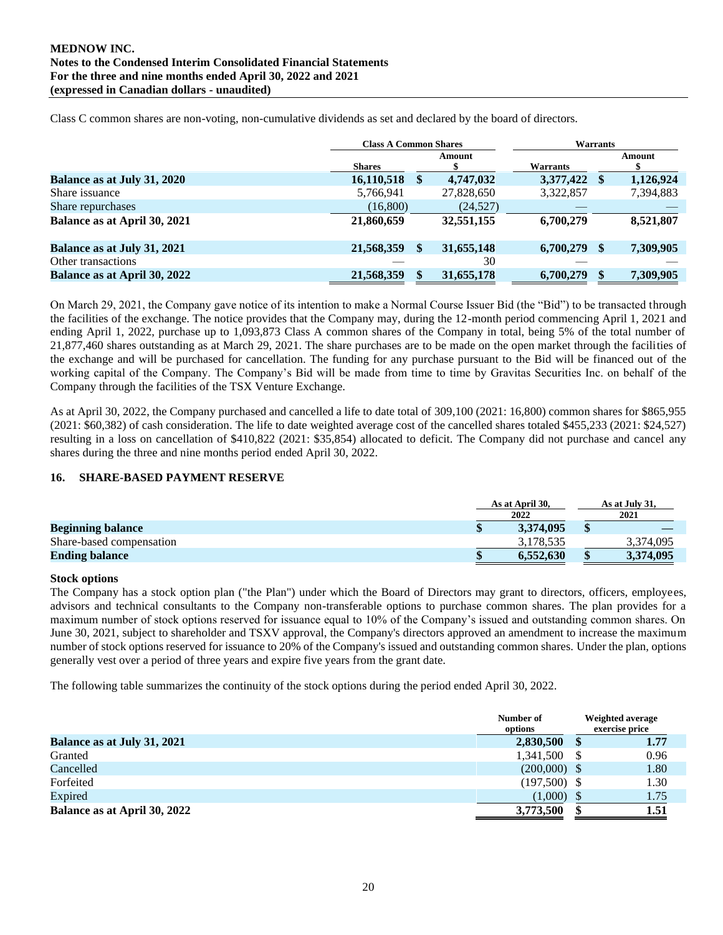|                              | <b>Class A Common Shares</b> |   |            | <b>Warrants</b> |     |           |  |  |
|------------------------------|------------------------------|---|------------|-----------------|-----|-----------|--|--|
|                              | <b>Shares</b>                |   | Amount     | <b>Warrants</b> |     | Amount    |  |  |
| Balance as at July 31, 2020  | 16,110,518                   | S | 4,747,032  | 3,377,422       | S.  | 1,126,924 |  |  |
| Share issuance               | 5,766,941                    |   | 27,828,650 | 3,322,857       |     | 7,394,883 |  |  |
| Share repurchases            | (16, 800)                    |   | (24, 527)  |                 |     |           |  |  |
| Balance as at April 30, 2021 | 21,860,659                   |   | 32,551,155 | 6,700,279       |     | 8,521,807 |  |  |
| Balance as at July 31, 2021  | 21,568,359                   |   | 31,655,148 | 6,700,279       | \$. | 7,309,905 |  |  |
| Other transactions           |                              |   | 30         |                 |     |           |  |  |
| Balance as at April 30, 2022 | 21,568,359                   |   | 31,655,178 | 6,700,279       |     | 7,309,905 |  |  |

Class C common shares are non-voting, non-cumulative dividends as set and declared by the board of directors.

On March 29, 2021, the Company gave notice of its intention to make a Normal Course Issuer Bid (the "Bid") to be transacted through the facilities of the exchange. The notice provides that the Company may, during the 12-month period commencing April 1, 2021 and ending April 1, 2022, purchase up to 1,093,873 Class A common shares of the Company in total, being 5% of the total number of 21,877,460 shares outstanding as at March 29, 2021. The share purchases are to be made on the open market through the facilities of the exchange and will be purchased for cancellation. The funding for any purchase pursuant to the Bid will be financed out of the working capital of the Company. The Company's Bid will be made from time to time by Gravitas Securities Inc. on behalf of the Company through the facilities of the TSX Venture Exchange.

As at April 30, 2022, the Company purchased and cancelled a life to date total of 309,100 (2021: 16,800) common shares for \$865,955 (2021: \$60,382) of cash consideration. The life to date weighted average cost of the cancelled shares totaled \$455,233 (2021: \$24,527) resulting in a loss on cancellation of \$410,822 (2021: \$35,854) allocated to deficit. The Company did not purchase and cancel any shares during the three and nine months period ended April 30, 2022.

## **16. SHARE-BASED PAYMENT RESERVE**

|                          |  | As at April 30. |  | As at July 31. |  |
|--------------------------|--|-----------------|--|----------------|--|
|                          |  |                 |  | 2021           |  |
| <b>Beginning balance</b> |  | 3.374,095       |  |                |  |
| Share-based compensation |  | 3.178.535       |  | 3,374,095      |  |
| <b>Ending balance</b>    |  | 6.552.630       |  | 3,374,095      |  |

#### **Stock options**

The Company has a stock option plan ("the Plan") under which the Board of Directors may grant to directors, officers, employees, advisors and technical consultants to the Company non-transferable options to purchase common shares. The plan provides for a maximum number of stock options reserved for issuance equal to 10% of the Company's issued and outstanding common shares. On June 30, 2021, subject to shareholder and TSXV approval, the Company's directors approved an amendment to increase the maximum number of stock options reserved for issuance to 20% of the Company's issued and outstanding common shares. Under the plan, options generally vest over a period of three years and expire five years from the grant date.

The following table summarizes the continuity of the stock options during the period ended April 30, 2022.

|                              | Number of<br>options | Weighted average<br>exercise price |      |  |
|------------------------------|----------------------|------------------------------------|------|--|
| Balance as at July 31, 2021  | 2,830,500            |                                    | 1.77 |  |
| Granted                      | 1,341,500            |                                    | 0.96 |  |
| Cancelled                    | $(200,000)$ \$       |                                    | 1.80 |  |
| Forfeited                    | $(197,500)$ \$       |                                    | 1.30 |  |
| Expired                      | (1,000)              |                                    | 1.75 |  |
| Balance as at April 30, 2022 | 3,773,500            |                                    | 1.51 |  |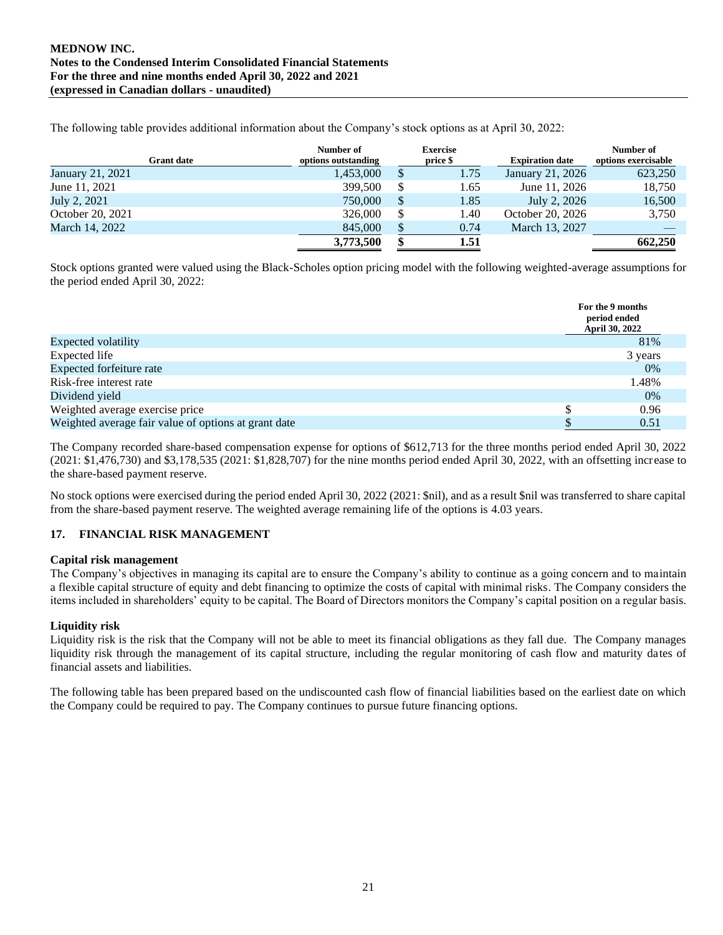The following table provides additional information about the Company's stock options as at April 30, 2022:

| <b>Grant date</b> | Number of<br>options outstanding |               | <b>Exercise</b><br>price \$ | <b>Expiration date</b> | Number of<br>options exercisable |
|-------------------|----------------------------------|---------------|-----------------------------|------------------------|----------------------------------|
| January 21, 2021  | 1,453,000                        | <sup>\$</sup> | 1.75                        | January 21, 2026       | 623,250                          |
| June 11, 2021     | 399,500                          | \$            | 1.65                        | June 11, 2026          | 18,750                           |
| July 2, 2021      | 750,000                          | <b>S</b>      | 1.85                        | July 2, 2026           | 16,500                           |
| October 20, 2021  | 326,000                          |               | l.40                        | October 20, 2026       | 3,750                            |
| March 14, 2022    | 845,000                          |               | 0.74                        | March 13, 2027         |                                  |
|                   | 3,773,500                        |               | 1.51                        |                        | 662,250                          |

Stock options granted were valued using the Black-Scholes option pricing model with the following weighted-average assumptions for the period ended April 30, 2022:

|                                                      | For the 9 months<br>period ended<br><b>April 30, 2022</b> |
|------------------------------------------------------|-----------------------------------------------------------|
| <b>Expected volatility</b>                           | 81%                                                       |
| Expected life                                        | 3 years                                                   |
| Expected forfeiture rate                             | $0\%$                                                     |
| Risk-free interest rate                              | 1.48%                                                     |
| Dividend yield                                       | $0\%$                                                     |
| Weighted average exercise price                      | 0.96                                                      |
| Weighted average fair value of options at grant date | 0.51                                                      |

The Company recorded share-based compensation expense for options of \$612,713 for the three months period ended April 30, 2022 (2021: \$1,476,730) and \$3,178,535 (2021: \$1,828,707) for the nine months period ended April 30, 2022, with an offsetting increase to the share-based payment reserve.

No stock options were exercised during the period ended April 30, 2022 (2021: \$nil), and as a result \$nil was transferred to share capital from the share-based payment reserve. The weighted average remaining life of the options is 4.03 years.

## **17. FINANCIAL RISK MANAGEMENT**

#### **Capital risk management**

The Company's objectives in managing its capital are to ensure the Company's ability to continue as a going concern and to maintain a flexible capital structure of equity and debt financing to optimize the costs of capital with minimal risks. The Company considers the items included in shareholders' equity to be capital. The Board of Directors monitors the Company's capital position on a regular basis.

## **Liquidity risk**

Liquidity risk is the risk that the Company will not be able to meet its financial obligations as they fall due. The Company manages liquidity risk through the management of its capital structure, including the regular monitoring of cash flow and maturity dates of financial assets and liabilities.

The following table has been prepared based on the undiscounted cash flow of financial liabilities based on the earliest date on which the Company could be required to pay. The Company continues to pursue future financing options.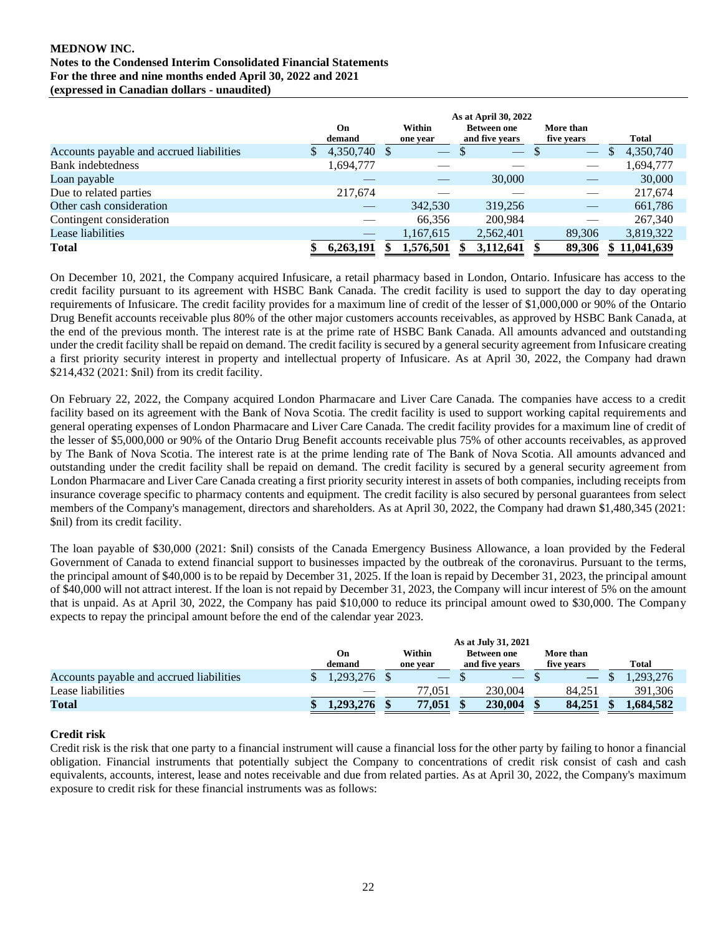|                                          | On<br>demand | Within<br>one year | As at April 30, 2022<br><b>Between one</b><br>and five years | More than<br>five years | Total                     |
|------------------------------------------|--------------|--------------------|--------------------------------------------------------------|-------------------------|---------------------------|
| Accounts payable and accrued liabilities | 4,350,740 \$ | $\hspace{0.05cm}$  | $\overline{\phantom{0}}$                                     | S<br>$\hspace{0.05cm}$  | 4,350,740<br><sup>S</sup> |
| Bank indebtedness                        | 1,694,777    |                    |                                                              |                         | 1,694,777                 |
| Loan payable                             |              |                    | 30,000                                                       | __                      | 30,000                    |
| Due to related parties                   | 217.674      |                    |                                                              |                         | 217.674                   |
| Other cash consideration                 |              | 342,530            | 319,256                                                      | --                      | 661,786                   |
| Contingent consideration                 |              | 66.356             | 200.984                                                      |                         | 267,340                   |
| Lease liabilities                        |              | 1,167,615          | 2,562,401                                                    | 89,306                  | 3,819,322                 |
| <b>Total</b>                             | 6,263,191    | 1,576,501          | 3,112,641                                                    | 89.306                  | \$11,041,639              |

On December 10, 2021, the Company acquired Infusicare, a retail pharmacy based in London, Ontario. Infusicare has access to the credit facility pursuant to its agreement with HSBC Bank Canada. The credit facility is used to support the day to day operating requirements of Infusicare. The credit facility provides for a maximum line of credit of the lesser of \$1,000,000 or 90% of the Ontario Drug Benefit accounts receivable plus 80% of the other major customers accounts receivables, as approved by HSBC Bank Canada, at the end of the previous month. The interest rate is at the prime rate of HSBC Bank Canada. All amounts advanced and outstanding under the credit facility shall be repaid on demand. The credit facility is secured by a general security agreement from Infusicare creating a first priority security interest in property and intellectual property of Infusicare. As at April 30, 2022, the Company had drawn \$214,432 (2021: \$nil) from its credit facility.

On February 22, 2022, the Company acquired London Pharmacare and Liver Care Canada. The companies have access to a credit facility based on its agreement with the Bank of Nova Scotia. The credit facility is used to support working capital requirements and general operating expenses of London Pharmacare and Liver Care Canada. The credit facility provides for a maximum line of credit of the lesser of \$5,000,000 or 90% of the Ontario Drug Benefit accounts receivable plus 75% of other accounts receivables, as approved by The Bank of Nova Scotia. The interest rate is at the prime lending rate of The Bank of Nova Scotia. All amounts advanced and outstanding under the credit facility shall be repaid on demand. The credit facility is secured by a general security agreement from London Pharmacare and Liver Care Canada creating a first priority security interest in assets of both companies, including receipts from insurance coverage specific to pharmacy contents and equipment. The credit facility is also secured by personal guarantees from select members of the Company's management, directors and shareholders. As at April 30, 2022, the Company had drawn \$1,480,345 (2021: \$nil) from its credit facility.

The loan payable of \$30,000 (2021: \$nil) consists of the Canada Emergency Business Allowance, a loan provided by the Federal Government of Canada to extend financial support to businesses impacted by the outbreak of the coronavirus. Pursuant to the terms, the principal amount of \$40,000 is to be repaid by December 31, 2025. If the loan is repaid by December 31, 2023, the principal amount of \$40,000 will not attract interest. If the loan is not repaid by December 31, 2023, the Company will incur interest of 5% on the amount that is unpaid. As at April 30, 2022, the Company has paid \$10,000 to reduce its principal amount owed to \$30,000. The Company expects to repay the principal amount before the end of the calendar year 2023.

|                                          | As at July 31, 2021 |              |  |                    |  |                                      |  |                         |  |           |
|------------------------------------------|---------------------|--------------|--|--------------------|--|--------------------------------------|--|-------------------------|--|-----------|
|                                          |                     | On<br>demand |  | Within<br>one year |  | <b>Between one</b><br>and five vears |  | More than<br>five vears |  | Total     |
| Accounts payable and accrued liabilities |                     | 1.293.276 \$ |  |                    |  |                                      |  |                         |  | ,293,276  |
| Lease liabilities                        |                     |              |  | 77,051             |  | 230,004                              |  | 84.251                  |  | 391.306   |
| <b>Total</b>                             |                     | 1.293.276    |  | 77,051             |  | 230,004                              |  | 84,251                  |  | 1.684.582 |

## **Credit risk**

Credit risk is the risk that one party to a financial instrument will cause a financial loss for the other party by failing to honor a financial obligation. Financial instruments that potentially subject the Company to concentrations of credit risk consist of cash and cash equivalents, accounts, interest, lease and notes receivable and due from related parties. As at April 30, 2022, the Company's maximum exposure to credit risk for these financial instruments was as follows: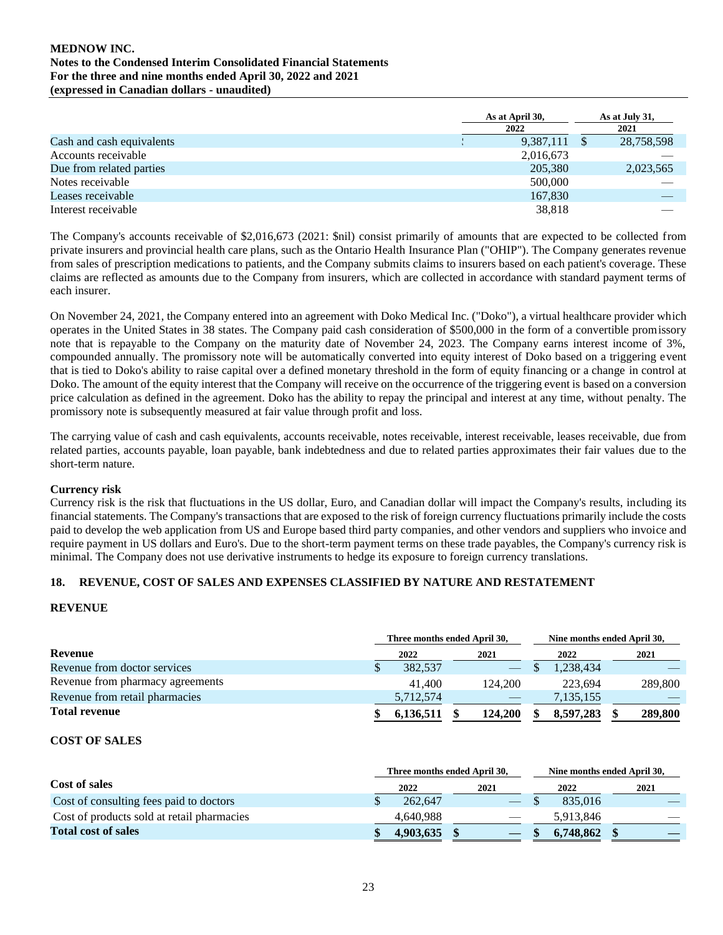|                           | As at April 30, | As at July 31, |
|---------------------------|-----------------|----------------|
|                           | 2022            | 2021           |
| Cash and cash equivalents | 9,387,111       | 28,758,598     |
| Accounts receivable       | 2,016,673       |                |
| Due from related parties  | 205,380         | 2,023,565      |
| Notes receivable          | 500,000         |                |
| Leases receivable         | 167.830         |                |
| Interest receivable       | 38,818          |                |

The Company's accounts receivable of \$2,016,673 (2021: \$nil) consist primarily of amounts that are expected to be collected from private insurers and provincial health care plans, such as the Ontario Health Insurance Plan ("OHIP"). The Company generates revenue from sales of prescription medications to patients, and the Company submits claims to insurers based on each patient's coverage. These claims are reflected as amounts due to the Company from insurers, which are collected in accordance with standard payment terms of each insurer.

On November 24, 2021, the Company entered into an agreement with Doko Medical Inc. ("Doko"), a virtual healthcare provider which operates in the United States in 38 states. The Company paid cash consideration of \$500,000 in the form of a convertible promissory note that is repayable to the Company on the maturity date of November 24, 2023. The Company earns interest income of 3%, compounded annually. The promissory note will be automatically converted into equity interest of Doko based on a triggering event that is tied to Doko's ability to raise capital over a defined monetary threshold in the form of equity financing or a change in control at Doko. The amount of the equity interest that the Company will receive on the occurrence of the triggering event is based on a conversion price calculation as defined in the agreement. Doko has the ability to repay the principal and interest at any time, without penalty. The promissory note is subsequently measured at fair value through profit and loss.

The carrying value of cash and cash equivalents, accounts receivable, notes receivable, interest receivable, leases receivable, due from related parties, accounts payable, loan payable, bank indebtedness and due to related parties approximates their fair values due to the short-term nature.

## **Currency risk**

Currency risk is the risk that fluctuations in the US dollar, Euro, and Canadian dollar will impact the Company's results, including its financial statements. The Company's transactions that are exposed to the risk of foreign currency fluctuations primarily include the costs paid to develop the web application from US and Europe based third party companies, and other vendors and suppliers who invoice and require payment in US dollars and Euro's. Due to the short-term payment terms on these trade payables, the Company's currency risk is minimal. The Company does not use derivative instruments to hedge its exposure to foreign currency translations.

## **18. REVENUE, COST OF SALES AND EXPENSES CLASSIFIED BY NATURE AND RESTATEMENT**

## **REVENUE**

|                                  | Three months ended April 30, |  | Nine months ended April 30, |  |           |  |         |
|----------------------------------|------------------------------|--|-----------------------------|--|-----------|--|---------|
| Revenue                          | 2022                         |  | 2021                        |  | 2022      |  | 2021    |
| Revenue from doctor services     | 382.537                      |  |                             |  | 1.238.434 |  |         |
| Revenue from pharmacy agreements | 41.400                       |  | 124.200                     |  | 223,694   |  | 289,800 |
| Revenue from retail pharmacies   | 5,712,574                    |  |                             |  | 7,135,155 |  |         |
| <b>Total revenue</b>             | 6,136,511                    |  | 124,200                     |  | 8.597.283 |  | 289,800 |

## **COST OF SALES**

|                                            | Three months ended April 30. |  | Nine months ended April 30. |  |           |  |      |
|--------------------------------------------|------------------------------|--|-----------------------------|--|-----------|--|------|
| Cost of sales                              | 2022                         |  | 2021                        |  | 2022      |  | 2021 |
| Cost of consulting fees paid to doctors    | 262,647                      |  |                             |  | 835,016   |  |      |
| Cost of products sold at retail pharmacies | 4.640.988                    |  |                             |  | 5.913.846 |  |      |
| <b>Total cost of sales</b>                 | 4,903,635                    |  |                             |  | 6,748,862 |  |      |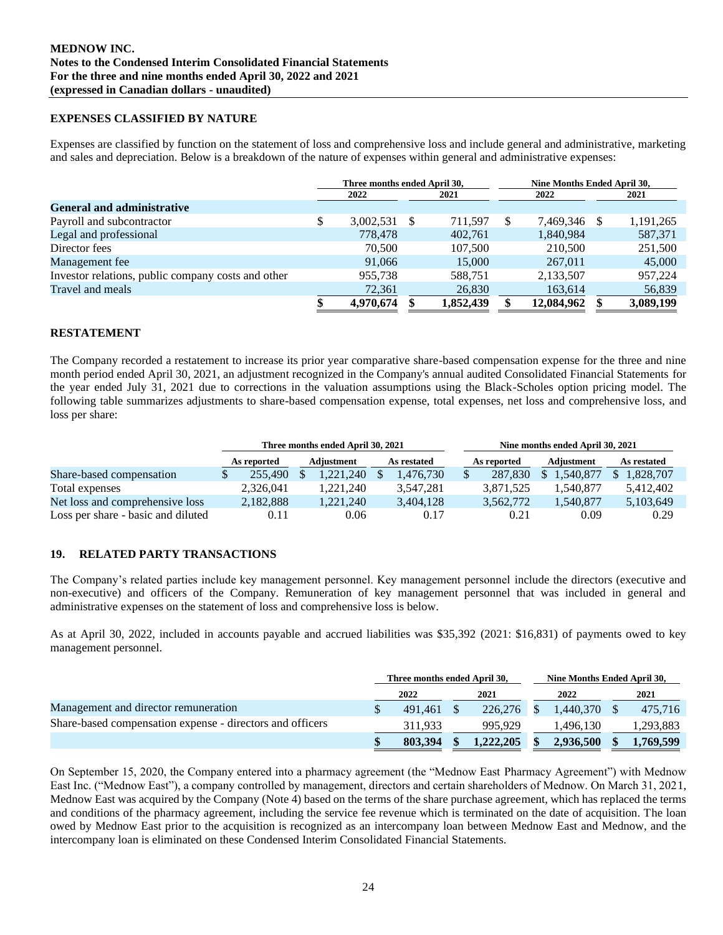#### **EXPENSES CLASSIFIED BY NATURE**

Expenses are classified by function on the statement of loss and comprehensive loss and include general and administrative, marketing and sales and depreciation. Below is a breakdown of the nature of expenses within general and administrative expenses:

|                                                    | Three months ended April 30, |      |           |               | Nine Months Ended April 30, |  |           |
|----------------------------------------------------|------------------------------|------|-----------|---------------|-----------------------------|--|-----------|
|                                                    | 2022                         |      | 2021      | 2022          |                             |  | 2021      |
| <b>General and administrative</b>                  |                              |      |           |               |                             |  |           |
| Payroll and subcontractor                          | \$<br>3,002,531              | - \$ | 711.597   | <sup>\$</sup> | 7.469.346 \$                |  | 1,191,265 |
| Legal and professional                             | 778,478                      |      | 402,761   |               | 1,840,984                   |  | 587,371   |
| Director fees                                      | 70,500                       |      | 107,500   |               | 210,500                     |  | 251,500   |
| Management fee                                     | 91,066                       |      | 15,000    |               | 267,011                     |  | 45,000    |
| Investor relations, public company costs and other | 955,738                      |      | 588.751   |               | 2,133,507                   |  | 957,224   |
| Travel and meals                                   | 72,361                       |      | 26,830    |               | 163,614                     |  | 56,839    |
|                                                    | 4,970,674                    |      | 1,852,439 |               | 12,084,962                  |  | 3,089,199 |

## **RESTATEMENT**

The Company recorded a restatement to increase its prior year comparative share-based compensation expense for the three and nine month period ended April 30, 2021, an adjustment recognized in the Company's annual audited Consolidated Financial Statements for the year ended July 31, 2021 due to corrections in the valuation assumptions using the Black-Scholes option pricing model. The following table summarizes adjustments to share-based compensation expense, total expenses, net loss and comprehensive loss, and loss per share:

|                                    |             |  | Three months ended April 30, 2021 |  |             | Nine months ended April 30, 2021 |             |            |      |             |  |  |  |
|------------------------------------|-------------|--|-----------------------------------|--|-------------|----------------------------------|-------------|------------|------|-------------|--|--|--|
|                                    | As reported |  | Adjustment                        |  | As restated |                                  | As reported | Adjustment |      | As restated |  |  |  |
| Share-based compensation           | 255,490     |  | 1.221.240                         |  | 1.476.730   |                                  | 287.830     | 1.540.877  |      | 1.828.707   |  |  |  |
| Total expenses                     | 2.326.041   |  | 1.221.240                         |  | 3.547.281   |                                  | 3.871.525   | 1.540.877  |      | 5.412.402   |  |  |  |
| Net loss and comprehensive loss    | 2.182.888   |  | 1.221.240                         |  | 3.404.128   |                                  | 3,562,772   | 1.540.877  |      | 5,103,649   |  |  |  |
| Loss per share - basic and diluted | 0.11        |  | 0.06                              |  | 0.17        |                                  | 0.21        |            | 0.09 | 0.29        |  |  |  |

## **19. RELATED PARTY TRANSACTIONS**

The Company's related parties include key management personnel. Key management personnel include the directors (executive and non-executive) and officers of the Company. Remuneration of key management personnel that was included in general and administrative expenses on the statement of loss and comprehensive loss is below.

As at April 30, 2022, included in accounts payable and accrued liabilities was \$35,392 (2021: \$16,831) of payments owed to key management personnel.

|                                                           | Three months ended April 30. |           | Nine Months Ended April 30. |           |
|-----------------------------------------------------------|------------------------------|-----------|-----------------------------|-----------|
|                                                           | 2022                         | 2021      | 2022                        | 2021      |
| Management and director remuneration                      | 491.461                      | 226,276   | 1.440.370                   | 475.716   |
| Share-based compensation expense - directors and officers | 311.933                      | 995.929   | .496.130                    | 1,293,883 |
|                                                           | 803.394                      | 1.222.205 | 2,936,500                   | 1.769.599 |

On September 15, 2020, the Company entered into a pharmacy agreement (the "Mednow East Pharmacy Agreement") with Mednow East Inc. ("Mednow East"), a company controlled by management, directors and certain shareholders of Mednow. On March 31, 2021, Mednow East was acquired by the Company (Note 4) based on the terms of the share purchase agreement, which has replaced the terms and conditions of the pharmacy agreement, including the service fee revenue which is terminated on the date of acquisition. The loan owed by Mednow East prior to the acquisition is recognized as an intercompany loan between Mednow East and Mednow, and the intercompany loan is eliminated on these Condensed Interim Consolidated Financial Statements.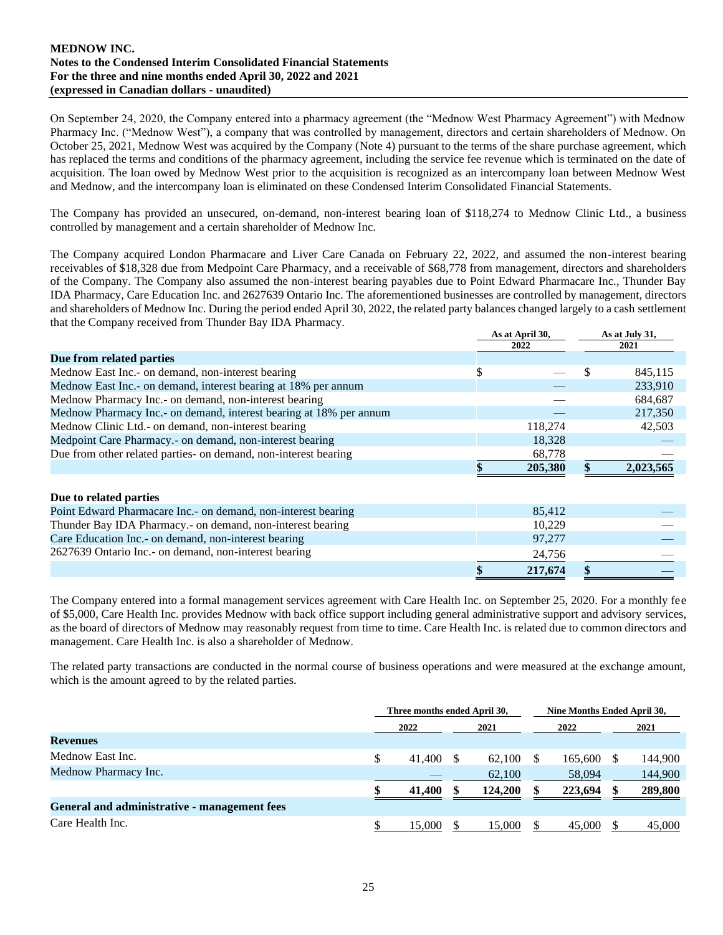On September 24, 2020, the Company entered into a pharmacy agreement (the "Mednow West Pharmacy Agreement") with Mednow Pharmacy Inc. ("Mednow West"), a company that was controlled by management, directors and certain shareholders of Mednow. On October 25, 2021, Mednow West was acquired by the Company (Note 4) pursuant to the terms of the share purchase agreement, which has replaced the terms and conditions of the pharmacy agreement, including the service fee revenue which is terminated on the date of acquisition. The loan owed by Mednow West prior to the acquisition is recognized as an intercompany loan between Mednow West and Mednow, and the intercompany loan is eliminated on these Condensed Interim Consolidated Financial Statements.

The Company has provided an unsecured, on-demand, non-interest bearing loan of \$118,274 to Mednow Clinic Ltd., a business controlled by management and a certain shareholder of Mednow Inc.

The Company acquired London Pharmacare and Liver Care Canada on February 22, 2022, and assumed the non-interest bearing receivables of \$18,328 due from Medpoint Care Pharmacy, and a receivable of \$68,778 from management, directors and shareholders of the Company. The Company also assumed the non-interest bearing payables due to Point Edward Pharmacare Inc., Thunder Bay IDA Pharmacy, Care Education Inc. and 2627639 Ontario Inc. The aforementioned businesses are controlled by management, directors and shareholders of Mednow Inc. During the period ended April 30, 2022, the related party balances changed largely to a cash settlement that the Company received from Thunder Bay IDA Pharmacy.

|                                                                    | As at April 30, | As at July 31, |
|--------------------------------------------------------------------|-----------------|----------------|
|                                                                    | 2022            | 2021           |
| Due from related parties                                           |                 |                |
| Mednow East Inc.- on demand, non-interest bearing                  | \$              | 845,115        |
| Mednow East Inc.- on demand, interest bearing at 18% per annum     |                 | 233,910        |
| Mednow Pharmacy Inc.- on demand, non-interest bearing              |                 | 684,687        |
| Mednow Pharmacy Inc.- on demand, interest bearing at 18% per annum |                 | 217,350        |
| Mednow Clinic Ltd.- on demand, non-interest bearing                | 118,274         | 42,503         |
| Medpoint Care Pharmacy.- on demand, non-interest bearing           | 18,328          |                |
| Due from other related parties- on demand, non-interest bearing    | 68,778          |                |
|                                                                    | 205,380         | 2,023,565      |
| Due to related parties                                             |                 |                |
| Point Edward Pharmacare Inc. - on demand, non-interest bearing     | 85,412          |                |
| Thunder Bay IDA Pharmacy.- on demand, non-interest bearing         | 10,229          |                |
| Care Education Inc.- on demand, non-interest bearing               | 97,277          |                |
| 2627639 Ontario Inc. - on demand, non-interest bearing             | 24,756          |                |
|                                                                    | \$<br>217,674   |                |

The Company entered into a formal management services agreement with Care Health Inc. on September 25, 2020. For a monthly fee of \$5,000, Care Health Inc. provides Mednow with back office support including general administrative support and advisory services, as the board of directors of Mednow may reasonably request from time to time. Care Health Inc. is related due to common directors and management. Care Health Inc. is also a shareholder of Mednow.

The related party transactions are conducted in the normal course of business operations and were measured at the exchange amount, which is the amount agreed to by the related parties.

|                                              |   | Three months ended April 30, |  |         |  | Nine Months Ended April 30, |  |         |
|----------------------------------------------|---|------------------------------|--|---------|--|-----------------------------|--|---------|
|                                              |   | 2022                         |  | 2021    |  | 2022                        |  | 2021    |
| <b>Revenues</b>                              |   |                              |  |         |  |                             |  |         |
| Mednow East Inc.                             | S | 41.400                       |  | 62.100  |  | 165,600                     |  | 144,900 |
| Mednow Pharmacy Inc.                         |   |                              |  | 62,100  |  | 58,094                      |  | 144,900 |
|                                              |   | 41,400                       |  | 124,200 |  | 223,694                     |  | 289,800 |
| General and administrative - management fees |   |                              |  |         |  |                             |  |         |
| Care Health Inc.                             |   | 15,000                       |  | 15,000  |  | 45,000                      |  | 45,000  |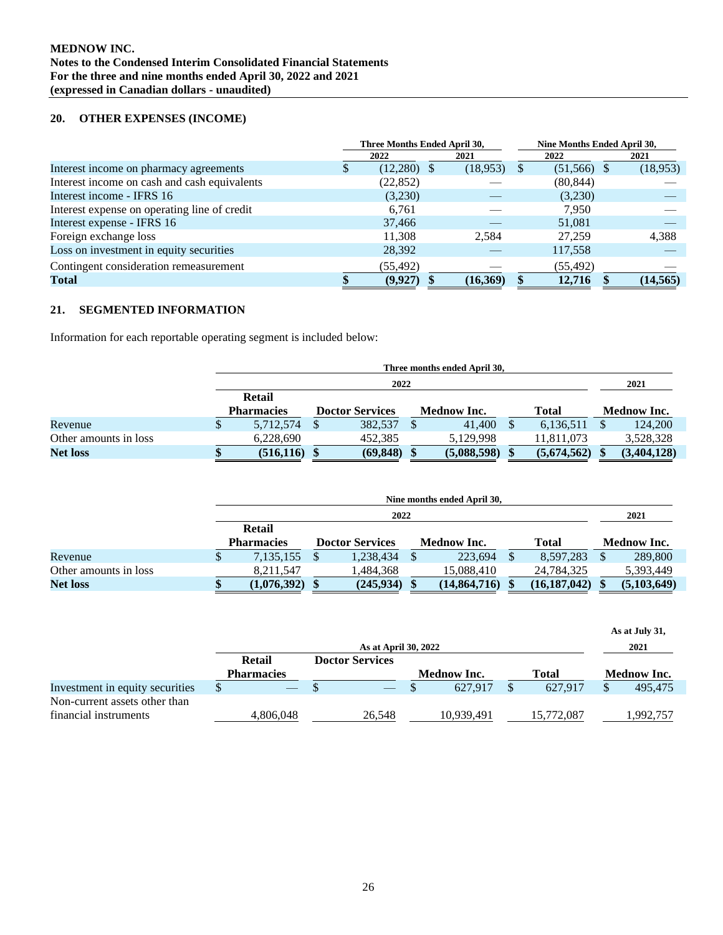## **20. OTHER EXPENSES (INCOME)**

|                                              | Three Months Ended April 30, |          |              | Nine Months Ended April 30, |  |           |  |
|----------------------------------------------|------------------------------|----------|--------------|-----------------------------|--|-----------|--|
|                                              | 2022                         | 2021     |              | 2022                        |  | 2021      |  |
| Interest income on pharmacy agreements       | $(12,280)$ \$                | (18,953) | <sup>8</sup> | $(51,566)$ \$               |  | (18,953)  |  |
| Interest income on cash and cash equivalents | (22, 852)                    |          |              | (80, 844)                   |  |           |  |
| Interest income - IFRS 16                    | (3,230)                      |          |              | (3,230)                     |  |           |  |
| Interest expense on operating line of credit | 6,761                        |          |              | 7,950                       |  |           |  |
| Interest expense - IFRS 16                   | 37,466                       |          |              | 51,081                      |  |           |  |
| Foreign exchange loss                        | 11.308                       | 2.584    |              | 27.259                      |  | 4,388     |  |
| Loss on investment in equity securities      | 28,392                       |          |              | 117,558                     |  |           |  |
| Contingent consideration remeasurement       | (55, 492)                    |          |              | (55, 492)                   |  |           |  |
| Total                                        | (9,927)                      | (16,369) |              | 12,716                      |  | (14, 565) |  |

#### **21. SEGMENTED INFORMATION**

Information for each reportable operating segment is included below:

|                       |  | Three months ended April 30, |  |           |  |                        |  |                    |  |             |  |                    |
|-----------------------|--|------------------------------|--|-----------|--|------------------------|--|--------------------|--|-------------|--|--------------------|
|                       |  | 2022                         |  |           |  |                        |  |                    |  |             |  |                    |
|                       |  | Retail                       |  |           |  |                        |  |                    |  |             |  |                    |
|                       |  | <b>Pharmacies</b>            |  |           |  | <b>Doctor Services</b> |  | <b>Mednow Inc.</b> |  | Total       |  | <b>Mednow Inc.</b> |
| Revenue               |  | 5,712,574                    |  | 382,537   |  | 41,400                 |  | 6,136,511          |  | 124,200     |  |                    |
| Other amounts in loss |  | 6,228,690                    |  | 452.385   |  | 5,129,998              |  | 11,811,073         |  | 3,528,328   |  |                    |
| <b>Net loss</b>       |  | (516, 116)                   |  | (69, 848) |  | (5,088,598)            |  | (5,674,562)        |  | (3,404,128) |  |                    |

|                       | Nine months ended April 30. |  |                        |  |              |              |                |  |                    |  |  |
|-----------------------|-----------------------------|--|------------------------|--|--------------|--------------|----------------|--|--------------------|--|--|
|                       |                             |  | 2021                   |  |              |              |                |  |                    |  |  |
|                       | <b>Retail</b>               |  |                        |  |              |              |                |  |                    |  |  |
|                       | <b>Pharmacies</b>           |  | <b>Doctor Services</b> |  | Mednow Inc.  | <b>Total</b> |                |  | <b>Mednow Inc.</b> |  |  |
| Revenue               | 7,135,155                   |  | 1,238,434              |  | 223,694      |              | 8,597,283      |  | 289,800            |  |  |
| Other amounts in loss | 8,211,547                   |  | 1,484,368              |  | 15.088.410   |              | 24,784,325     |  | 5,393,449          |  |  |
| <b>Net loss</b>       | (1,076,392)                 |  | $(245,934)$ \$         |  | (14,864,716) |              | (16, 187, 042) |  | (5,103,649)        |  |  |

|                                 |                   |                        |                    |              | As at July 31,     |
|---------------------------------|-------------------|------------------------|--------------------|--------------|--------------------|
|                                 |                   | 2021                   |                    |              |                    |
|                                 | Retail            | <b>Doctor Services</b> |                    |              |                    |
|                                 | <b>Pharmacies</b> |                        | <b>Mednow Inc.</b> | <b>Total</b> | <b>Mednow Inc.</b> |
| Investment in equity securities |                   |                        | 627.917            | 627.917      | 495.475            |
| Non-current assets other than   |                   |                        |                    |              |                    |
| financial instruments           | 4.806.048         | 26,548                 | 10.939.491         | 15.772.087   | ,992,757           |